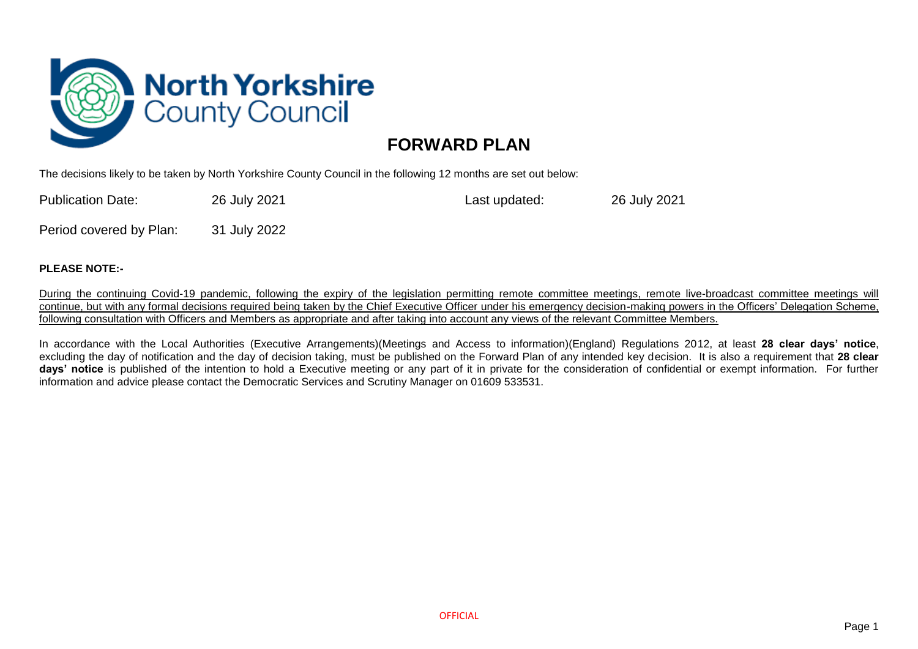

## **FORWARD PLAN**

The decisions likely to be taken by North Yorkshire County Council in the following 12 months are set out below:

Publication Date: 26 July 2021 Last updated: 26 July 2021

Period covered by Plan: 31 July 2022

## **PLEASE NOTE:-**

During the continuing Covid-19 pandemic, following the expiry of the legislation permitting remote committee meetings, remote live-broadcast committee meetings will continue, but with any formal decisions required being taken by the Chief Executive Officer under his emergency decision-making powers in the Officers' Delegation Scheme, following consultation with Officers and Members as appropriate and after taking into account any views of the relevant Committee Members.

In accordance with the Local Authorities (Executive Arrangements)(Meetings and Access to information)(England) Regulations 2012, at least **28 clear days' notice**, excluding the day of notification and the day of decision taking, must be published on the Forward Plan of any intended key decision. It is also a requirement that **28 clear days' notice** is published of the intention to hold a Executive meeting or any part of it in private for the consideration of confidential or exempt information. For further information and advice please contact the Democratic Services and Scrutiny Manager on 01609 533531.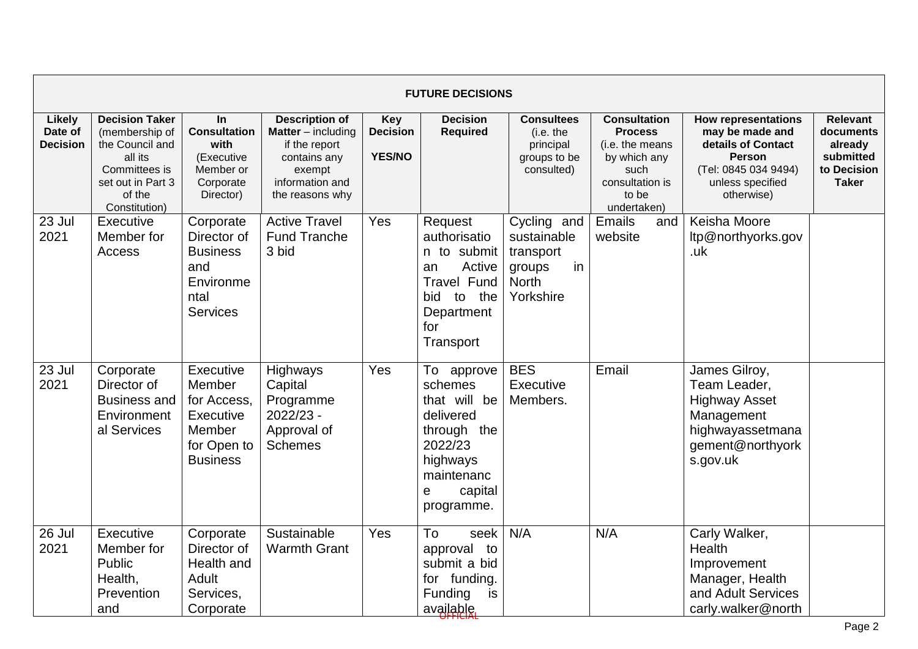|                                      |                                                                                                                                        |                                                                                                    |                                                                                                                              |                                                | <b>FUTURE DECISIONS</b>                                                                                                              |                                                                                      |                                                                                                                             |                                                                                                                                                |                                                                                     |
|--------------------------------------|----------------------------------------------------------------------------------------------------------------------------------------|----------------------------------------------------------------------------------------------------|------------------------------------------------------------------------------------------------------------------------------|------------------------------------------------|--------------------------------------------------------------------------------------------------------------------------------------|--------------------------------------------------------------------------------------|-----------------------------------------------------------------------------------------------------------------------------|------------------------------------------------------------------------------------------------------------------------------------------------|-------------------------------------------------------------------------------------|
| Likely<br>Date of<br><b>Decision</b> | <b>Decision Taker</b><br>(membership of<br>the Council and<br>all its<br>Committees is<br>set out in Part 3<br>of the<br>Constitution) | In<br><b>Consultation</b><br>with<br>(Executive<br>Member or<br>Corporate<br>Director)             | <b>Description of</b><br>Matter - including<br>if the report<br>contains any<br>exempt<br>information and<br>the reasons why | <b>Key</b><br><b>Decision</b><br><b>YES/NO</b> | <b>Decision</b><br><b>Required</b>                                                                                                   | <b>Consultees</b><br>(i.e. the<br>principal<br>groups to be<br>consulted)            | <b>Consultation</b><br><b>Process</b><br>(i.e. the means<br>by which any<br>such<br>consultation is<br>to be<br>undertaken) | <b>How representations</b><br>may be made and<br>details of Contact<br><b>Person</b><br>(Tel: 0845 034 9494)<br>unless specified<br>otherwise) | <b>Relevant</b><br>documents<br>already<br>submitted<br>to Decision<br><b>Taker</b> |
| 23 Jul<br>2021                       | Executive<br>Member for<br>Access                                                                                                      | Corporate<br>Director of<br><b>Business</b><br>and<br>Environme<br>ntal<br><b>Services</b>         | <b>Active Travel</b><br><b>Fund Tranche</b><br>3 bid                                                                         | Yes                                            | Request<br>authorisatio<br>n to submit<br>Active<br>an<br><b>Travel Fund</b><br>the<br>bid to<br>Department<br>for<br>Transport      | Cycling and<br>sustainable<br>transport<br>in<br>groups<br><b>North</b><br>Yorkshire | Emails<br>and<br>website                                                                                                    | Keisha Moore<br>ltp@northyorks.gov<br>.uk                                                                                                      |                                                                                     |
| 23 Jul<br>2021                       | Corporate<br>Director of<br><b>Business and</b><br>Environment<br>al Services                                                          | Executive<br>Member<br>for Access.<br><b>Executive</b><br>Member<br>for Open to<br><b>Business</b> | Highways<br>Capital<br>Programme<br>2022/23 -<br>Approval of<br><b>Schemes</b>                                               | Yes                                            | To approve<br>schemes<br>that will be<br>delivered<br>through the<br>2022/23<br>highways<br>maintenanc<br>capital<br>e<br>programme. | <b>BES</b><br>Executive<br>Members.                                                  | Email                                                                                                                       | James Gilroy,<br>Team Leader,<br><b>Highway Asset</b><br>Management<br>highwayassetmana<br>gement@northyork<br>s.gov.uk                        |                                                                                     |
| 26 Jul<br>2021                       | Executive<br>Member for<br>Public<br>Health,<br>Prevention<br>and                                                                      | Corporate<br>Director of<br>Health and<br>Adult<br>Services,<br>Corporate                          | Sustainable<br><b>Warmth Grant</b>                                                                                           | Yes                                            | To<br>seek<br>approval to<br>submit a bid<br>for funding.<br>Funding<br>is<br>available.                                             | N/A                                                                                  | N/A                                                                                                                         | Carly Walker,<br>Health<br>Improvement<br>Manager, Health<br>and Adult Services<br>carly.walker@north                                          |                                                                                     |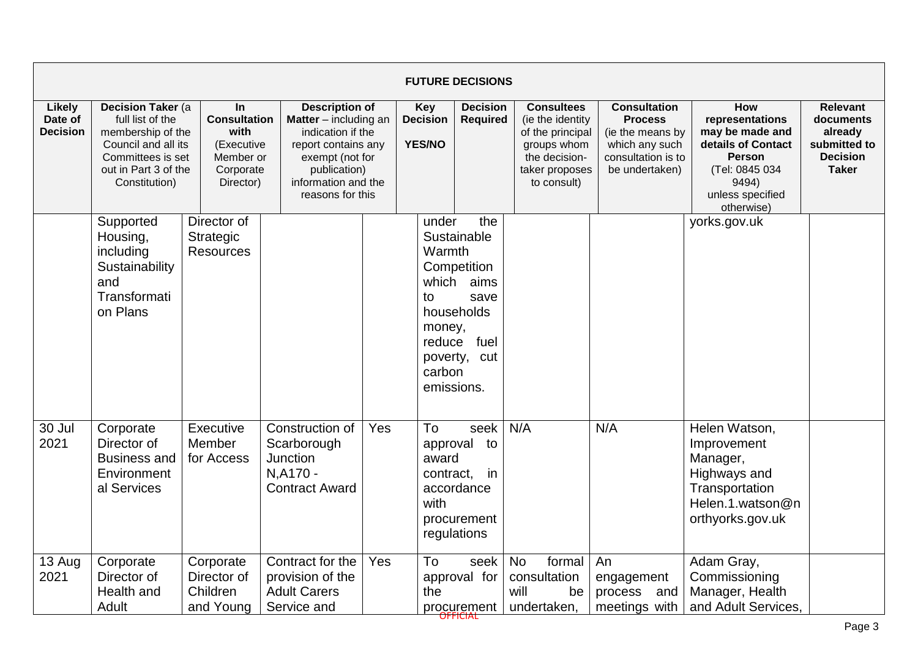|                                             |                                                                                                                                                 |                                                                                         |                                                                                                                                                                                   |     |                                                                            | <b>FUTURE DECISIONS</b>                                                                 |                                                                                                                            |                                                                                                                     |                                                                                                                                               |                                                                                            |
|---------------------------------------------|-------------------------------------------------------------------------------------------------------------------------------------------------|-----------------------------------------------------------------------------------------|-----------------------------------------------------------------------------------------------------------------------------------------------------------------------------------|-----|----------------------------------------------------------------------------|-----------------------------------------------------------------------------------------|----------------------------------------------------------------------------------------------------------------------------|---------------------------------------------------------------------------------------------------------------------|-----------------------------------------------------------------------------------------------------------------------------------------------|--------------------------------------------------------------------------------------------|
| <b>Likely</b><br>Date of<br><b>Decision</b> | Decision Taker (a<br>full list of the<br>membership of the<br>Council and all its<br>Committees is set<br>out in Part 3 of the<br>Constitution) | In.<br><b>Consultation</b><br>with<br>(Executive<br>Member or<br>Corporate<br>Director) | <b>Description of</b><br><b>Matter</b> $-$ including an<br>indication if the<br>report contains any<br>exempt (not for<br>publication)<br>information and the<br>reasons for this |     | Key<br><b>Decision</b><br>YES/NO                                           | <b>Decision</b><br><b>Required</b>                                                      | <b>Consultees</b><br>(ie the identity<br>of the principal<br>groups whom<br>the decision-<br>taker proposes<br>to consult) | <b>Consultation</b><br><b>Process</b><br>(ie the means by<br>which any such<br>consultation is to<br>be undertaken) | How<br>representations<br>may be made and<br>details of Contact<br><b>Person</b><br>(Tel: 0845 034<br>9494)<br>unless specified<br>otherwise) | <b>Relevant</b><br>documents<br>already<br>submitted to<br><b>Decision</b><br><b>Taker</b> |
|                                             | Supported<br>Housing,<br>including<br>Sustainability<br>and<br>Transformati<br>on Plans                                                         | Director of<br><b>Strategic</b><br><b>Resources</b>                                     |                                                                                                                                                                                   |     | under<br>Warmth<br>which<br>to<br>money,<br>reduce<br>carbon<br>emissions. | the<br>Sustainable<br>Competition<br>aims<br>save<br>households<br>fuel<br>poverty, cut |                                                                                                                            |                                                                                                                     | yorks.gov.uk                                                                                                                                  |                                                                                            |
| 30 Jul<br>2021                              | Corporate<br>Director of<br><b>Business and</b><br>Environment<br>al Services                                                                   | Executive<br>Member<br>for Access                                                       | Construction of<br>Scarborough<br>Junction<br>N, A170 -<br><b>Contract Award</b>                                                                                                  | Yes | To<br>award<br>contract.<br>with                                           | seek<br>approval to<br>-in<br>accordance<br>procurement<br>regulations                  | N/A                                                                                                                        | N/A                                                                                                                 | Helen Watson,<br>Improvement<br>Manager,<br>Highways and<br>Transportation<br>Helen.1.watson@n<br>orthyorks.gov.uk                            |                                                                                            |
| 13 Aug<br>2021                              | Corporate<br>Director of<br>Health and<br><b>Adult</b>                                                                                          | Corporate<br>Director of<br>Children<br>and Young                                       | Contract for the<br>provision of the<br><b>Adult Carers</b><br>Service and                                                                                                        | Yes | To<br>the                                                                  | seek<br>approval for<br>procurement                                                     | <b>No</b><br>formal<br>consultation<br>will<br>be<br>undertaken,                                                           | An<br>engagement<br>process<br>and<br>meetings with                                                                 | Adam Gray,<br>Commissioning<br>Manager, Health<br>and Adult Services.                                                                         |                                                                                            |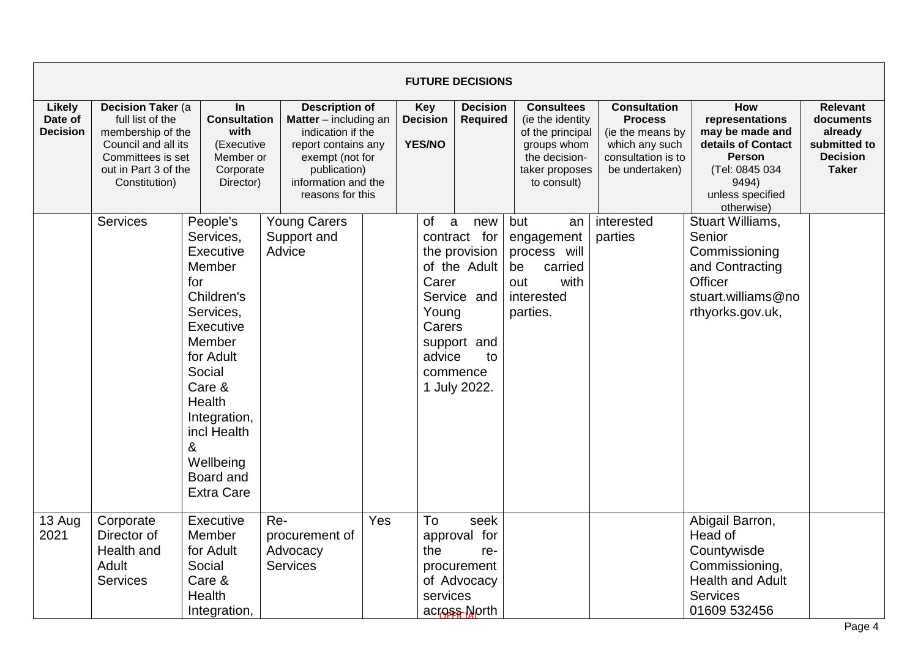|                                      |                                                                                                                                                 |                                                                                                                                                                                                                                                   |                                                                                                                                                                          |     |                                                 | <b>FUTURE DECISIONS</b>                                                                                                   |                                                                                                                            |                                                                                                                     |                                                                                                                                               |                                                                                            |
|--------------------------------------|-------------------------------------------------------------------------------------------------------------------------------------------------|---------------------------------------------------------------------------------------------------------------------------------------------------------------------------------------------------------------------------------------------------|--------------------------------------------------------------------------------------------------------------------------------------------------------------------------|-----|-------------------------------------------------|---------------------------------------------------------------------------------------------------------------------------|----------------------------------------------------------------------------------------------------------------------------|---------------------------------------------------------------------------------------------------------------------|-----------------------------------------------------------------------------------------------------------------------------------------------|--------------------------------------------------------------------------------------------|
| Likely<br>Date of<br><b>Decision</b> | Decision Taker (a<br>full list of the<br>membership of the<br>Council and all its<br>Committees is set<br>out in Part 3 of the<br>Constitution) | In<br><b>Consultation</b><br>with<br>(Executive<br>Member or<br>Corporate<br>Director)                                                                                                                                                            | <b>Description of</b><br>Matter - including an<br>indication if the<br>report contains any<br>exempt (not for<br>publication)<br>information and the<br>reasons for this |     | Key<br><b>Decision</b><br><b>YES/NO</b>         | <b>Decision</b><br><b>Required</b>                                                                                        | <b>Consultees</b><br>(ie the identity<br>of the principal<br>groups whom<br>the decision-<br>taker proposes<br>to consult) | <b>Consultation</b><br><b>Process</b><br>(ie the means by<br>which any such<br>consultation is to<br>be undertaken) | How<br>representations<br>may be made and<br>details of Contact<br><b>Person</b><br>(Tel: 0845 034<br>9494)<br>unless specified<br>otherwise) | <b>Relevant</b><br>documents<br>already<br>submitted to<br><b>Decision</b><br><b>Taker</b> |
|                                      | <b>Services</b>                                                                                                                                 | People's<br>Services,<br><b>Executive</b><br>Member<br>for<br>Children's<br>Services,<br>Executive<br>Member<br>for Adult<br>Social<br>Care &<br><b>Health</b><br>Integration,<br>incl Health<br>&<br>Wellbeing<br>Board and<br><b>Extra Care</b> | <b>Young Carers</b><br>Support and<br>Advice                                                                                                                             |     | <b>of</b><br>Carer<br>Young<br>Carers<br>advice | a<br>new<br>contract for<br>the provision<br>of the Adult<br>Service and<br>support and<br>to<br>commence<br>1 July 2022. | but<br>an<br>engagement<br>process will<br>be<br>carried<br>out<br>with<br>interested<br>parties.                          | interested<br>parties                                                                                               | Stuart Williams,<br>Senior<br>Commissioning<br>and Contracting<br>Officer<br>stuart.williams@no<br>rthyorks.gov.uk,                           |                                                                                            |
| 13 Aug<br>2021                       | Corporate<br>Director of<br>Health and<br>Adult<br><b>Services</b>                                                                              | Executive<br>Member<br>for Adult<br>Social<br>Care &<br>Health<br>Integration,                                                                                                                                                                    | Re-<br>procurement of<br>Advocacy<br><b>Services</b>                                                                                                                     | Yes | To<br>the<br>services                           | seek<br>approval for<br>re-<br>procurement<br>of Advocacy<br>across North                                                 |                                                                                                                            |                                                                                                                     | Abigail Barron,<br>Head of<br>Countywisde<br>Commissioning,<br><b>Health and Adult</b><br><b>Services</b><br>01609 532456                     |                                                                                            |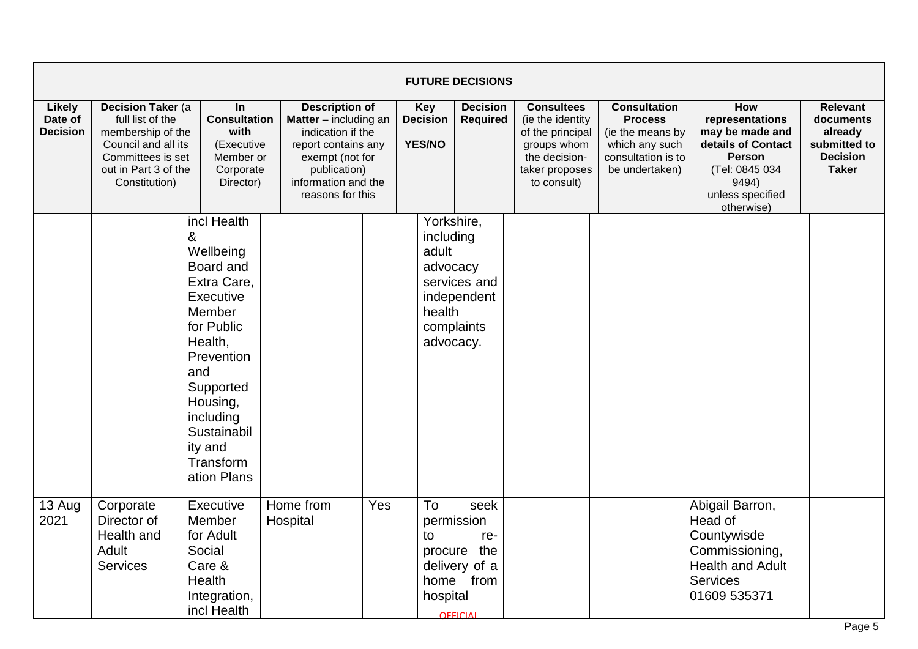|                                      |                                                                                                                                                         |                                                                                                                                                                                                                                   |                                                                                                                                                                          |     |                                                                                   | <b>FUTURE DECISIONS</b>                                                            |                                                                                                                            |                                                                                                                     |                                                                                                                                                      |                                                                                            |
|--------------------------------------|---------------------------------------------------------------------------------------------------------------------------------------------------------|-----------------------------------------------------------------------------------------------------------------------------------------------------------------------------------------------------------------------------------|--------------------------------------------------------------------------------------------------------------------------------------------------------------------------|-----|-----------------------------------------------------------------------------------|------------------------------------------------------------------------------------|----------------------------------------------------------------------------------------------------------------------------|---------------------------------------------------------------------------------------------------------------------|------------------------------------------------------------------------------------------------------------------------------------------------------|--------------------------------------------------------------------------------------------|
| Likely<br>Date of<br><b>Decision</b> | <b>Decision Taker (a)</b><br>full list of the<br>membership of the<br>Council and all its<br>Committees is set<br>out in Part 3 of the<br>Constitution) | In<br><b>Consultation</b><br>with<br>(Executive<br>Member or<br>Corporate<br>Director)                                                                                                                                            | <b>Description of</b><br>Matter - including an<br>indication if the<br>report contains any<br>exempt (not for<br>publication)<br>information and the<br>reasons for this |     | <b>Key</b><br><b>Decision</b><br><b>YES/NO</b>                                    | <b>Decision</b><br><b>Required</b>                                                 | <b>Consultees</b><br>(ie the identity<br>of the principal<br>groups whom<br>the decision-<br>taker proposes<br>to consult) | <b>Consultation</b><br><b>Process</b><br>(ie the means by<br>which any such<br>consultation is to<br>be undertaken) | <b>How</b><br>representations<br>may be made and<br>details of Contact<br><b>Person</b><br>(Tel: 0845 034<br>9494)<br>unless specified<br>otherwise) | <b>Relevant</b><br>documents<br>already<br>submitted to<br><b>Decision</b><br><b>Taker</b> |
|                                      |                                                                                                                                                         | incl Health<br>&<br>Wellbeing<br>Board and<br>Extra Care,<br><b>Executive</b><br>Member<br>for Public<br>Health,<br>Prevention<br>and<br>Supported<br>Housing,<br>including<br>Sustainabil<br>ity and<br>Transform<br>ation Plans |                                                                                                                                                                          |     | Yorkshire,<br>including<br>adult<br>advocacy<br>health<br>complaints<br>advocacy. | services and<br>independent                                                        |                                                                                                                            |                                                                                                                     |                                                                                                                                                      |                                                                                            |
| 13 Aug<br>2021                       | Corporate<br>Director of<br>Health and<br>Adult<br>Services                                                                                             | Executive<br>Member<br>for Adult<br>Social<br>Care &<br>Health<br>Integration,<br>incl Health                                                                                                                                     | Home from<br>Hospital                                                                                                                                                    | Yes | To<br>to<br>hospital                                                              | seek<br>permission<br>re-<br>procure the<br>delivery of a<br>home from<br>OFFICIAL |                                                                                                                            |                                                                                                                     | Abigail Barron,<br>Head of<br>Countywisde<br>Commissioning,<br><b>Health and Adult</b><br><b>Services</b><br>01609 535371                            |                                                                                            |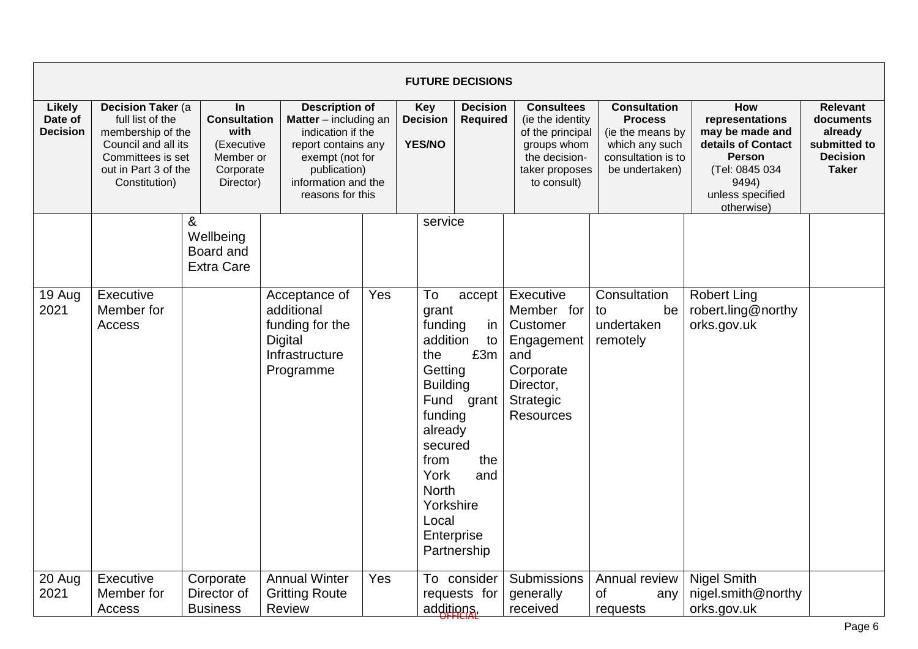|                                      |                                                                                                                                                 |                                                                                               |                                                                                                                                                                                   |     |                                                                                                                                                                              | <b>FUTURE DECISIONS</b>                                              |                                                                                                                            |                                                                                                                     |                                                                                                                                               |                                                                                            |
|--------------------------------------|-------------------------------------------------------------------------------------------------------------------------------------------------|-----------------------------------------------------------------------------------------------|-----------------------------------------------------------------------------------------------------------------------------------------------------------------------------------|-----|------------------------------------------------------------------------------------------------------------------------------------------------------------------------------|----------------------------------------------------------------------|----------------------------------------------------------------------------------------------------------------------------|---------------------------------------------------------------------------------------------------------------------|-----------------------------------------------------------------------------------------------------------------------------------------------|--------------------------------------------------------------------------------------------|
| Likely<br>Date of<br><b>Decision</b> | Decision Taker (a<br>full list of the<br>membership of the<br>Council and all its<br>Committees is set<br>out in Part 3 of the<br>Constitution) | <b>In</b><br><b>Consultation</b><br>with<br>(Executive<br>Member or<br>Corporate<br>Director) | <b>Description of</b><br><b>Matter</b> $-$ including an<br>indication if the<br>report contains any<br>exempt (not for<br>publication)<br>information and the<br>reasons for this |     | <b>Key</b><br><b>Decision</b><br><b>YES/NO</b>                                                                                                                               | <b>Decision</b><br><b>Required</b>                                   | <b>Consultees</b><br>(ie the identity<br>of the principal<br>groups whom<br>the decision-<br>taker proposes<br>to consult) | <b>Consultation</b><br><b>Process</b><br>(ie the means by<br>which any such<br>consultation is to<br>be undertaken) | How<br>representations<br>may be made and<br>details of Contact<br><b>Person</b><br>(Tel: 0845 034<br>9494)<br>unless specified<br>otherwise) | <b>Relevant</b><br>documents<br>already<br>submitted to<br><b>Decision</b><br><b>Taker</b> |
|                                      |                                                                                                                                                 | &<br>Wellbeing<br>Board and<br><b>Extra Care</b>                                              |                                                                                                                                                                                   |     | service                                                                                                                                                                      |                                                                      |                                                                                                                            |                                                                                                                     |                                                                                                                                               |                                                                                            |
| 19 Aug<br>2021                       | Executive<br>Member for<br>Access                                                                                                               |                                                                                               | Acceptance of<br>additional<br>funding for the<br><b>Digital</b><br>Infrastructure<br>Programme                                                                                   | Yes | To<br>grant<br>funding<br>addition<br>the<br>Getting<br><b>Building</b><br>funding<br>already<br>secured<br>from<br>York<br><b>North</b><br>Yorkshire<br>Local<br>Enterprise | accept<br>in<br>to<br>£3m<br>Fund grant<br>the<br>and<br>Partnership | Executive<br>Member for<br>Customer<br>Engagement<br>and<br>Corporate<br>Director,<br><b>Strategic</b><br><b>Resources</b> | Consultation<br>be<br>to<br>undertaken<br>remotely                                                                  | <b>Robert Ling</b><br>robert.ling@northy<br>orks.gov.uk                                                                                       |                                                                                            |
| 20 Aug<br>2021                       | Executive<br>Member for<br>Access                                                                                                               | Corporate<br>Director of<br><b>Business</b>                                                   | <b>Annual Winter</b><br><b>Gritting Route</b><br><b>Review</b>                                                                                                                    | Yes | additions.                                                                                                                                                                   | To consider<br>requests for                                          | Submissions<br>generally<br>received                                                                                       | Annual review<br><b>of</b><br>any<br>requests                                                                       | <b>Nigel Smith</b><br>nigel.smith@northy<br>orks.gov.uk                                                                                       |                                                                                            |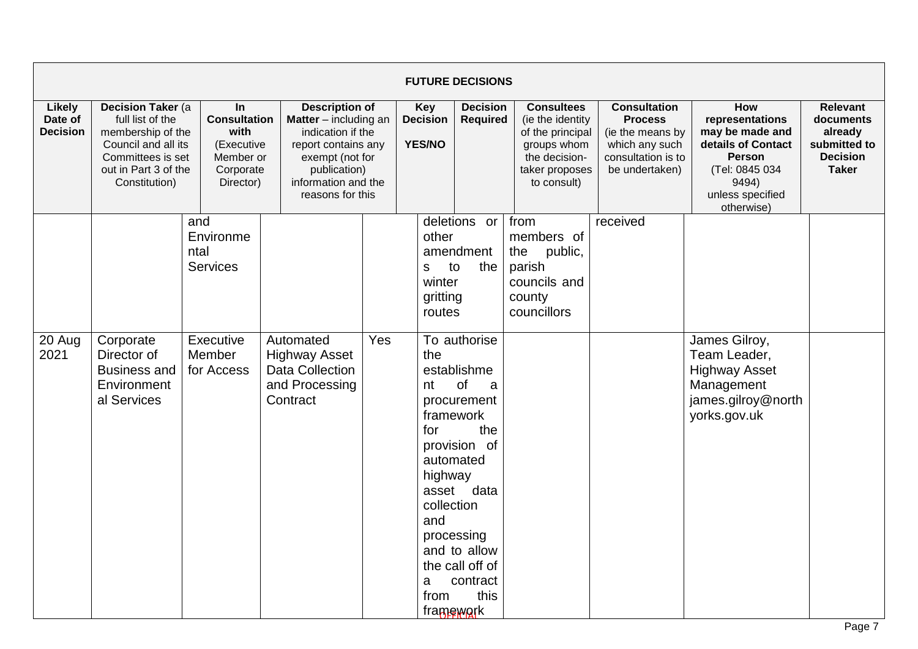|                                             |                                                                                                                                                        |                                                                                        |                                                                                                                                                                          |                                  |                                                                            | <b>FUTURE DECISIONS</b>                                                                                                                                                                          |                                                                                                                            |                                                                                                                     |                                                                                                                                               |                                                                                            |
|---------------------------------------------|--------------------------------------------------------------------------------------------------------------------------------------------------------|----------------------------------------------------------------------------------------|--------------------------------------------------------------------------------------------------------------------------------------------------------------------------|----------------------------------|----------------------------------------------------------------------------|--------------------------------------------------------------------------------------------------------------------------------------------------------------------------------------------------|----------------------------------------------------------------------------------------------------------------------------|---------------------------------------------------------------------------------------------------------------------|-----------------------------------------------------------------------------------------------------------------------------------------------|--------------------------------------------------------------------------------------------|
| <b>Likely</b><br>Date of<br><b>Decision</b> | <b>Decision Taker (a</b><br>full list of the<br>membership of the<br>Council and all its<br>Committees is set<br>out in Part 3 of the<br>Constitution) | In<br><b>Consultation</b><br>with<br>(Executive<br>Member or<br>Corporate<br>Director) | <b>Description of</b><br>Matter - including an<br>indication if the<br>report contains any<br>exempt (not for<br>publication)<br>information and the<br>reasons for this | <b>Decision</b><br><b>YES/NO</b> |                                                                            | <b>Decision</b><br><b>Required</b>                                                                                                                                                               | <b>Consultees</b><br>(ie the identity<br>of the principal<br>groups whom<br>the decision-<br>taker proposes<br>to consult) | <b>Consultation</b><br><b>Process</b><br>(ie the means by<br>which any such<br>consultation is to<br>be undertaken) | How<br>representations<br>may be made and<br>details of Contact<br><b>Person</b><br>(Tel: 0845 034<br>9494)<br>unless specified<br>otherwise) | <b>Relevant</b><br>documents<br>already<br>submitted to<br><b>Decision</b><br><b>Taker</b> |
|                                             |                                                                                                                                                        | and<br>Environme<br>ntal<br><b>Services</b>                                            |                                                                                                                                                                          |                                  | other<br>to<br>s<br>winter<br>gritting<br>routes                           | deletions or<br>amendment<br>the                                                                                                                                                                 | from<br>members of<br>public,<br>the<br>parish<br>councils and<br>county<br>councillors                                    | received                                                                                                            |                                                                                                                                               |                                                                                            |
| 20 Aug<br>2021                              | Corporate<br>Director of<br><b>Business and</b><br>Environment<br>al Services                                                                          | Executive<br>Member<br>for Access                                                      | Automated<br><b>Highway Asset</b><br><b>Data Collection</b><br>and Processing<br>Contract                                                                                | Yes                              | the<br>nt<br>framework<br>for<br>highway<br>collection<br>and<br>a<br>from | To authorise<br>establishme<br><b>of</b><br>a<br>procurement<br>the<br>provision of<br>automated<br>asset data<br>processing<br>and to allow<br>the call off of<br>contract<br>this<br>framework |                                                                                                                            |                                                                                                                     | James Gilroy,<br>Team Leader,<br><b>Highway Asset</b><br>Management<br>james.gilroy@north<br>yorks.gov.uk                                     |                                                                                            |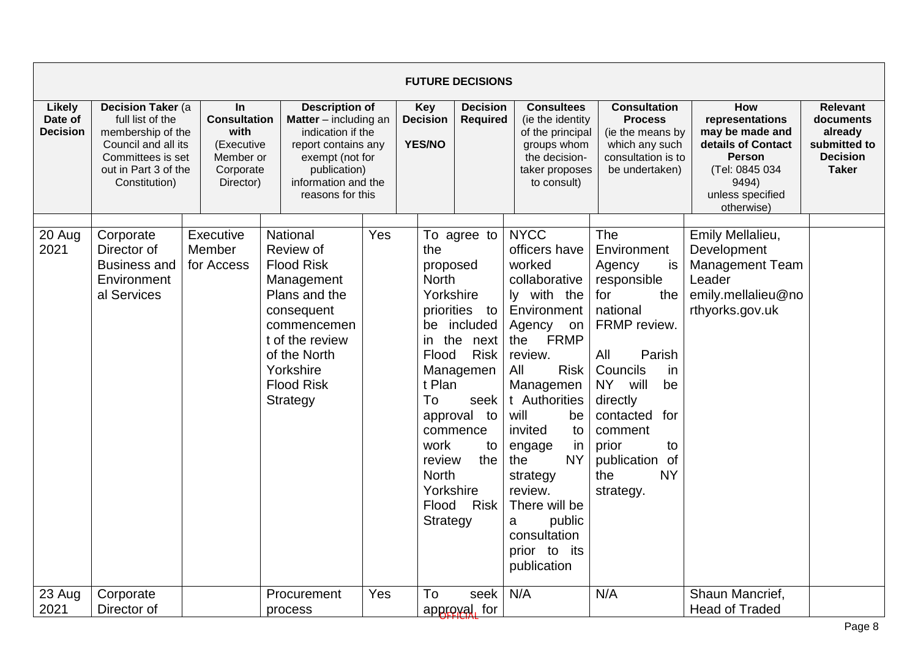|                                      |                                                                                                                                                 |                                                                                               |                                                                                                                                                                                         |                                         |                                                                                                                                                                      | <b>FUTURE DECISIONS</b>                                                                                                                     |                                                                                                                                                                                                                                                                                                                                                                     |                                                                                                                                                                                                                                                                        |                                                                                                                                               |                                                                                            |
|--------------------------------------|-------------------------------------------------------------------------------------------------------------------------------------------------|-----------------------------------------------------------------------------------------------|-----------------------------------------------------------------------------------------------------------------------------------------------------------------------------------------|-----------------------------------------|----------------------------------------------------------------------------------------------------------------------------------------------------------------------|---------------------------------------------------------------------------------------------------------------------------------------------|---------------------------------------------------------------------------------------------------------------------------------------------------------------------------------------------------------------------------------------------------------------------------------------------------------------------------------------------------------------------|------------------------------------------------------------------------------------------------------------------------------------------------------------------------------------------------------------------------------------------------------------------------|-----------------------------------------------------------------------------------------------------------------------------------------------|--------------------------------------------------------------------------------------------|
| Likely<br>Date of<br><b>Decision</b> | Decision Taker (a<br>full list of the<br>membership of the<br>Council and all its<br>Committees is set<br>out in Part 3 of the<br>Constitution) | <b>In</b><br><b>Consultation</b><br>with<br>(Executive<br>Member or<br>Corporate<br>Director) | <b>Description of</b><br><b>Matter</b> $-$ including an<br>indication if the<br>report contains any<br>exempt (not for<br>publication)<br>information and the<br>reasons for this       | Key<br><b>Decision</b><br><b>YES/NO</b> |                                                                                                                                                                      | <b>Decision</b><br><b>Required</b>                                                                                                          | <b>Consultees</b><br>(ie the identity<br>of the principal<br>groups whom<br>the decision-<br>taker proposes<br>to consult)                                                                                                                                                                                                                                          | <b>Consultation</b><br><b>Process</b><br>(ie the means by<br>which any such<br>consultation is to<br>be undertaken)                                                                                                                                                    | How<br>representations<br>may be made and<br>details of Contact<br><b>Person</b><br>(Tel: 0845 034<br>9494)<br>unless specified<br>otherwise) | <b>Relevant</b><br>documents<br>already<br>submitted to<br><b>Decision</b><br><b>Taker</b> |
| 20 Aug<br>2021                       | Corporate<br>Director of<br><b>Business and</b><br>Environment<br>al Services                                                                   | Executive<br>Member<br>for Access                                                             | National<br>Review of<br><b>Flood Risk</b><br>Management<br>Plans and the<br>consequent<br>commencemen<br>t of the review<br>of the North<br>Yorkshire<br><b>Flood Risk</b><br>Strategy | Yes                                     | the<br>proposed<br><b>North</b><br>Yorkshire<br>be<br>the<br>in.<br>Flood<br>t Plan<br>To<br>work<br>review<br><b>North</b><br>Yorkshire<br>Flood<br><b>Strategy</b> | To agree to<br>priorities to<br>included<br>next<br><b>Risk</b><br>Managemen<br>seek<br>approval to<br>commence<br>to<br>the<br><b>Risk</b> | <b>NYCC</b><br>officers have<br>worked<br>collaborative<br>ly with the<br>Environment<br>Agency<br>on<br><b>FRMP</b><br>the<br>review.<br><b>Risk</b><br>All<br>Managemen<br>t Authorities<br>will<br>be<br>invited<br>to<br>in<br>engage<br><b>NY</b><br>the<br>strategy<br>review.<br>There will be<br>public<br>a<br>consultation<br>prior to its<br>publication | The<br>Environment<br>Agency<br>is<br>responsible<br>for<br>the<br>national<br>FRMP review.<br>All<br>Parish<br>Councils<br>in<br><b>NY</b><br>will<br>be<br>directly<br>contacted<br>for<br>comment<br>prior<br>to<br>publication of<br><b>NY</b><br>the<br>strategy. | Emily Mellalieu,<br>Development<br><b>Management Team</b><br>Leader<br>emily.mellalieu@no<br>rthyorks.gov.uk                                  |                                                                                            |
| 23 Aug<br>2021                       | Corporate<br>Director of                                                                                                                        |                                                                                               | Procurement<br>process                                                                                                                                                                  | Yes                                     | To                                                                                                                                                                   | seek<br>approval, for                                                                                                                       | N/A                                                                                                                                                                                                                                                                                                                                                                 | N/A                                                                                                                                                                                                                                                                    | Shaun Mancrief,<br><b>Head of Traded</b>                                                                                                      |                                                                                            |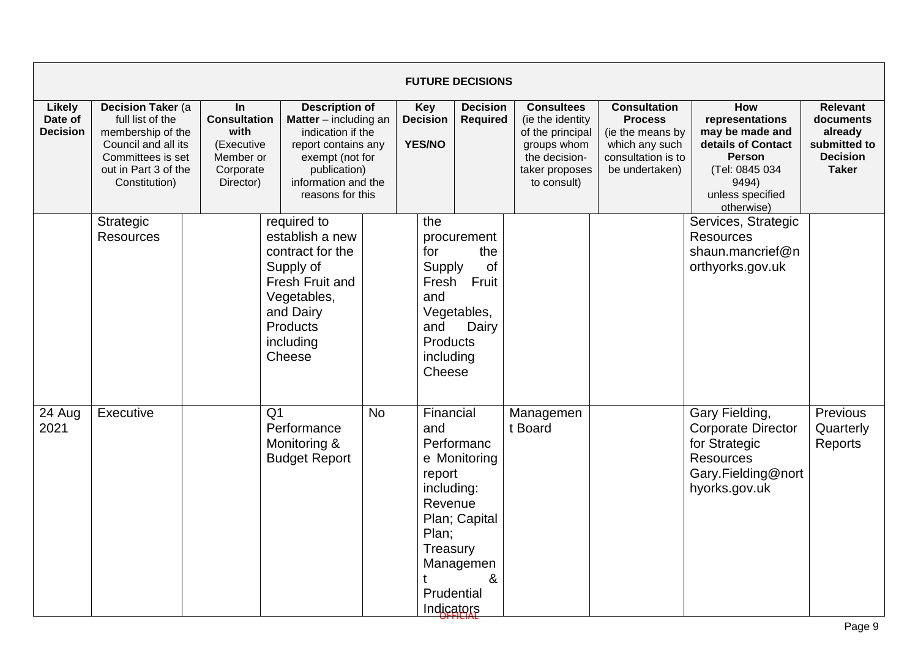|                                      |                                                                                                                                                 |                                                                                               |                                                                                                                                                          |                                                                                                                                                                                                                       |                                                                                                      | <b>FUTURE DECISIONS</b>                                       |                                                                                                                            |                                                                                                                     |                                                                                                                                               |                                                                                            |
|--------------------------------------|-------------------------------------------------------------------------------------------------------------------------------------------------|-----------------------------------------------------------------------------------------------|----------------------------------------------------------------------------------------------------------------------------------------------------------|-----------------------------------------------------------------------------------------------------------------------------------------------------------------------------------------------------------------------|------------------------------------------------------------------------------------------------------|---------------------------------------------------------------|----------------------------------------------------------------------------------------------------------------------------|---------------------------------------------------------------------------------------------------------------------|-----------------------------------------------------------------------------------------------------------------------------------------------|--------------------------------------------------------------------------------------------|
| Likely<br>Date of<br><b>Decision</b> | Decision Taker (a<br>full list of the<br>membership of the<br>Council and all its<br>Committees is set<br>out in Part 3 of the<br>Constitution) | <b>In</b><br><b>Consultation</b><br>with<br>(Executive<br>Member or<br>Corporate<br>Director) |                                                                                                                                                          | <b>Description of</b><br><b>Decision</b><br><b>Matter</b> $-$ including an<br>indication if the<br><b>YES/NO</b><br>report contains any<br>exempt (not for<br>publication)<br>information and the<br>reasons for this |                                                                                                      | <b>Decision</b><br><b>Required</b>                            | <b>Consultees</b><br>(ie the identity<br>of the principal<br>groups whom<br>the decision-<br>taker proposes<br>to consult) | <b>Consultation</b><br><b>Process</b><br>(ie the means by<br>which any such<br>consultation is to<br>be undertaken) | How<br>representations<br>may be made and<br>details of Contact<br><b>Person</b><br>(Tel: 0845 034<br>9494)<br>unless specified<br>otherwise) | <b>Relevant</b><br>documents<br>already<br>submitted to<br><b>Decision</b><br><b>Taker</b> |
|                                      | Strategic<br><b>Resources</b>                                                                                                                   |                                                                                               | required to<br>establish a new<br>contract for the<br>Supply of<br>Fresh Fruit and<br>Vegetables,<br>and Dairy<br><b>Products</b><br>including<br>Cheese |                                                                                                                                                                                                                       | the<br>for<br>Supply<br>Fresh<br>and<br>and<br>Products<br>including<br>Cheese                       | procurement<br>the<br>of<br>Fruit<br>Vegetables,<br>Dairy     |                                                                                                                            |                                                                                                                     | Services, Strategic<br><b>Resources</b><br>shaun.mancrief@n<br>orthyorks.gov.uk                                                               |                                                                                            |
| 24 Aug<br>2021                       | Executive                                                                                                                                       |                                                                                               | Q <sub>1</sub><br>Performance<br>Monitoring &<br><b>Budget Report</b>                                                                                    | <b>No</b>                                                                                                                                                                                                             | Financial<br>and<br>report<br>including:<br>Revenue<br>Plan;<br>Treasury<br>Prudential<br>Indicators | Performanc<br>e Monitoring<br>Plan; Capital<br>Managemen<br>& | Managemen<br>t Board                                                                                                       |                                                                                                                     | Gary Fielding,<br><b>Corporate Director</b><br>for Strategic<br><b>Resources</b><br>Gary.Fielding@nort<br>hyorks.gov.uk                       | Previous<br>Quarterly<br>Reports                                                           |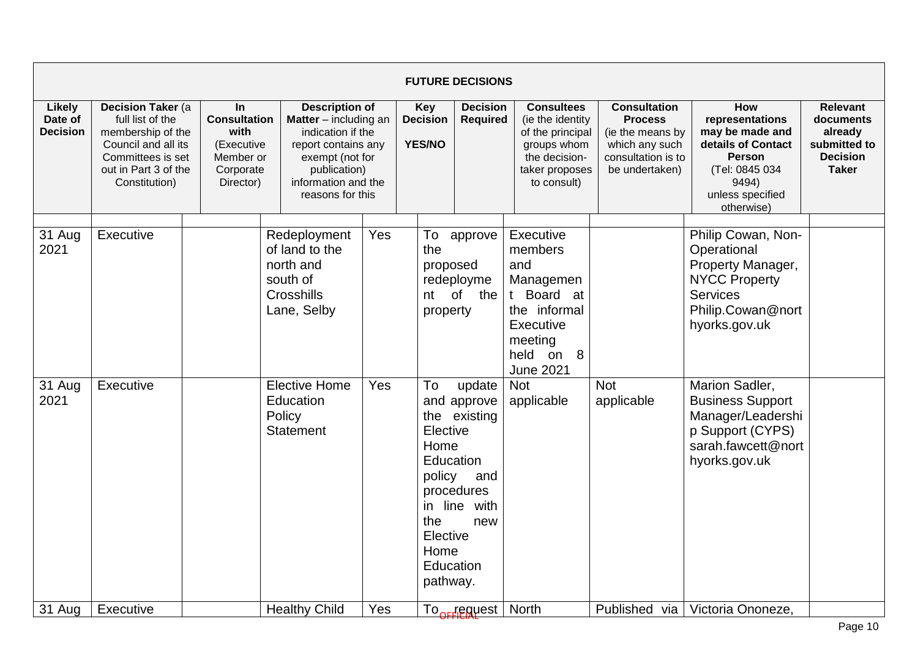|                                      |                                                                                                                                                         |                                                                                               |                                                                                                                                                                                   |     |                                                                                                              | <b>FUTURE DECISIONS</b>                                                   |                                                                                                                                 |                                                                                                                     |                                                                                                                                                      |                                                                                            |
|--------------------------------------|---------------------------------------------------------------------------------------------------------------------------------------------------------|-----------------------------------------------------------------------------------------------|-----------------------------------------------------------------------------------------------------------------------------------------------------------------------------------|-----|--------------------------------------------------------------------------------------------------------------|---------------------------------------------------------------------------|---------------------------------------------------------------------------------------------------------------------------------|---------------------------------------------------------------------------------------------------------------------|------------------------------------------------------------------------------------------------------------------------------------------------------|--------------------------------------------------------------------------------------------|
| Likely<br>Date of<br><b>Decision</b> | <b>Decision Taker (a)</b><br>full list of the<br>membership of the<br>Council and all its<br>Committees is set<br>out in Part 3 of the<br>Constitution) | <b>In</b><br><b>Consultation</b><br>with<br>(Executive<br>Member or<br>Corporate<br>Director) | <b>Description of</b><br><b>Matter</b> $-$ including an<br>indication if the<br>report contains any<br>exempt (not for<br>publication)<br>information and the<br>reasons for this |     | <b>Key</b><br><b>Decision</b><br><b>YES/NO</b>                                                               | <b>Decision</b><br><b>Required</b>                                        | <b>Consultees</b><br>(ie the identity<br>of the principal<br>groups whom<br>the decision-<br>taker proposes<br>to consult)      | <b>Consultation</b><br><b>Process</b><br>(ie the means by<br>which any such<br>consultation is to<br>be undertaken) | <b>How</b><br>representations<br>may be made and<br>details of Contact<br><b>Person</b><br>(Tel: 0845 034<br>9494)<br>unless specified<br>otherwise) | <b>Relevant</b><br>documents<br>already<br>submitted to<br><b>Decision</b><br><b>Taker</b> |
| 31 Aug<br>2021                       | Executive                                                                                                                                               |                                                                                               | Redeployment<br>of land to the<br>north and<br>south of<br>Crosshills<br>Lane, Selby                                                                                              | Yes | To<br>the<br>proposed<br>nt<br>property                                                                      | approve<br>redeployme<br>of the                                           | Executive<br>members<br>and<br>Managemen<br>t Board at<br>the informal<br>Executive<br>meeting<br>held on 8<br><b>June 2021</b> |                                                                                                                     | Philip Cowan, Non-<br>Operational<br>Property Manager,<br><b>NYCC Property</b><br>Services<br>Philip.Cowan@nort<br>hyorks.gov.uk                     |                                                                                            |
| 31 Aug<br>2021                       | Executive                                                                                                                                               |                                                                                               | <b>Elective Home</b><br>Education<br>Policy<br>Statement                                                                                                                          | Yes | To<br>Elective<br>Home<br>Education<br>policy<br>in line<br>the<br>Elective<br>Home<br>Education<br>pathway. | update<br>and approve<br>the existing<br>and<br>procedures<br>with<br>new | <b>Not</b><br>applicable                                                                                                        | <b>Not</b><br>applicable                                                                                            | Marion Sadler,<br><b>Business Support</b><br>Manager/Leadershi<br>p Support (CYPS)<br>sarah.fawcett@nort<br>hyorks.gov.uk                            |                                                                                            |
| 31 Aug                               | Executive                                                                                                                                               |                                                                                               | <b>Healthy Child</b>                                                                                                                                                              | Yes |                                                                                                              | To <sub>ord</sub> equest                                                  | <b>North</b>                                                                                                                    | Published via                                                                                                       | Victoria Ononeze,                                                                                                                                    |                                                                                            |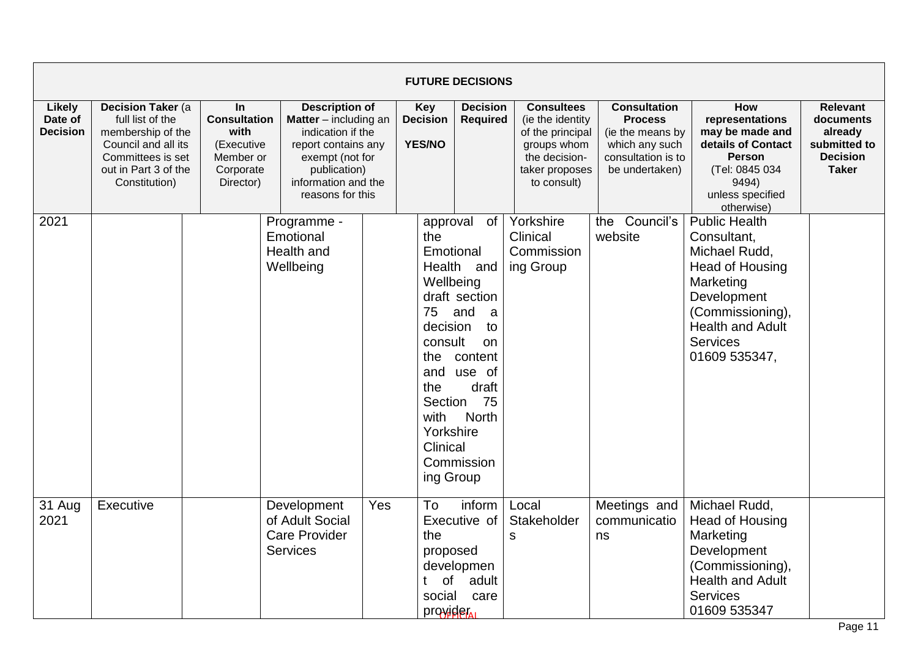|                                             |                                                                                                                                                 |                                                                                               |                                                                           |                                                                                                                                                                                                            |                                                                                                                                                      | <b>FUTURE DECISIONS</b>                                                                                                            |                                                                                                                             |                                                                                                                     |                                                                                                                                                                                        |                                                                                            |
|---------------------------------------------|-------------------------------------------------------------------------------------------------------------------------------------------------|-----------------------------------------------------------------------------------------------|---------------------------------------------------------------------------|------------------------------------------------------------------------------------------------------------------------------------------------------------------------------------------------------------|------------------------------------------------------------------------------------------------------------------------------------------------------|------------------------------------------------------------------------------------------------------------------------------------|-----------------------------------------------------------------------------------------------------------------------------|---------------------------------------------------------------------------------------------------------------------|----------------------------------------------------------------------------------------------------------------------------------------------------------------------------------------|--------------------------------------------------------------------------------------------|
| <b>Likely</b><br>Date of<br><b>Decision</b> | Decision Taker (a<br>full list of the<br>membership of the<br>Council and all its<br>Committees is set<br>out in Part 3 of the<br>Constitution) | <b>In</b><br><b>Consultation</b><br>with<br>(Executive<br>Member or<br>Corporate<br>Director) | publication)                                                              | <b>Description of</b><br><b>Key</b><br><b>Decision</b><br>Matter - including an<br>indication if the<br><b>YES/NO</b><br>report contains any<br>exempt (not for<br>information and the<br>reasons for this |                                                                                                                                                      | <b>Decision</b><br><b>Required</b>                                                                                                 | <b>Consultees</b><br>(ie the identity)<br>of the principal<br>groups whom<br>the decision-<br>taker proposes<br>to consult) | <b>Consultation</b><br><b>Process</b><br>(ie the means by<br>which any such<br>consultation is to<br>be undertaken) | How<br>representations<br>may be made and<br>details of Contact<br><b>Person</b><br>(Tel: 0845 034<br>9494)<br>unless specified<br>otherwise)                                          | <b>Relevant</b><br>documents<br>already<br>submitted to<br><b>Decision</b><br><b>Taker</b> |
| 2021                                        |                                                                                                                                                 |                                                                                               | Programme -<br>Emotional<br>Health and<br>Wellbeing                       |                                                                                                                                                                                                            | approval<br>the<br>Emotional<br>Wellbeing<br>75<br>decision<br>consult<br>the<br>and<br>the<br>Section<br>with<br>Yorkshire<br>Clinical<br>ing Group | of<br>Health and<br>draft section<br>and<br>a<br>to<br><b>on</b><br>content<br>use of<br>draft<br>75<br><b>North</b><br>Commission | Yorkshire<br>Clinical<br>Commission<br>ing Group                                                                            | Council's<br>the<br>website                                                                                         | <b>Public Health</b><br>Consultant,<br>Michael Rudd,<br>Head of Housing<br>Marketing<br>Development<br>(Commissioning),<br><b>Health and Adult</b><br><b>Services</b><br>01609 535347, |                                                                                            |
| 31 Aug<br>2021                              | Executive                                                                                                                                       |                                                                                               | Development<br>of Adult Social<br><b>Care Provider</b><br><b>Services</b> | Yes                                                                                                                                                                                                        | To<br>the<br>proposed<br>of<br>social<br>provider                                                                                                    | inform<br>Executive of<br>developmen<br>adult<br>care                                                                              | Local<br>Stakeholder<br>${\sf S}$                                                                                           | Meetings and<br>communicatio<br>ns                                                                                  | Michael Rudd,<br>Head of Housing<br>Marketing<br>Development<br>(Commissioning),<br><b>Health and Adult</b><br><b>Services</b><br>01609 535347                                         |                                                                                            |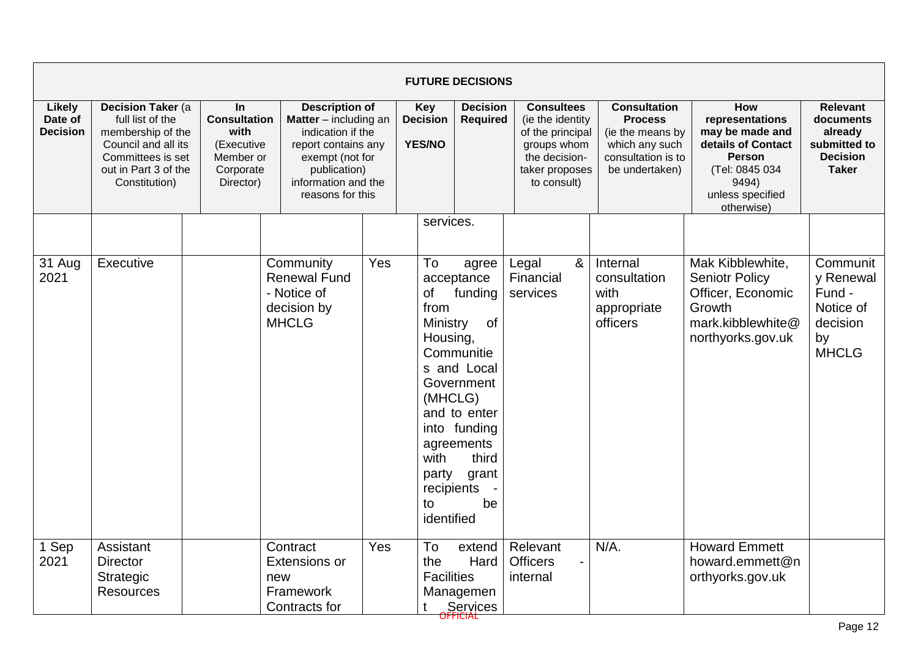|                                             |                                                                                                                                                 |                                                                                               |                                                                                                                                                                          |     |                                                                                                               | <b>FUTURE DECISIONS</b>                                                                                                                               |                                                                                                                            |   |                                                                                                                     |                                                                                                                                        |                                                                                            |
|---------------------------------------------|-------------------------------------------------------------------------------------------------------------------------------------------------|-----------------------------------------------------------------------------------------------|--------------------------------------------------------------------------------------------------------------------------------------------------------------------------|-----|---------------------------------------------------------------------------------------------------------------|-------------------------------------------------------------------------------------------------------------------------------------------------------|----------------------------------------------------------------------------------------------------------------------------|---|---------------------------------------------------------------------------------------------------------------------|----------------------------------------------------------------------------------------------------------------------------------------|--------------------------------------------------------------------------------------------|
| <b>Likely</b><br>Date of<br><b>Decision</b> | Decision Taker (a<br>full list of the<br>membership of the<br>Council and all its<br>Committees is set<br>out in Part 3 of the<br>Constitution) | <b>In</b><br><b>Consultation</b><br>with<br>(Executive<br>Member or<br>Corporate<br>Director) | <b>Description of</b><br>Matter - including an<br>indication if the<br>report contains any<br>exempt (not for<br>publication)<br>information and the<br>reasons for this |     | <b>Key</b><br><b>Decision</b><br><b>YES/NO</b>                                                                | <b>Decision</b><br><b>Required</b>                                                                                                                    | <b>Consultees</b><br>(ie the identity<br>of the principal<br>groups whom<br>the decision-<br>taker proposes<br>to consult) |   | <b>Consultation</b><br><b>Process</b><br>(ie the means by<br>which any such<br>consultation is to<br>be undertaken) | How<br>representations<br>may be made and<br>details of Contact<br>Person<br>(Tel: 0845 034<br>9494)<br>unless specified<br>otherwise) | <b>Relevant</b><br>documents<br>already<br>submitted to<br><b>Decision</b><br><b>Taker</b> |
|                                             |                                                                                                                                                 |                                                                                               |                                                                                                                                                                          |     | services.                                                                                                     |                                                                                                                                                       |                                                                                                                            |   |                                                                                                                     |                                                                                                                                        |                                                                                            |
| 31 Aug<br>2021                              | Executive                                                                                                                                       |                                                                                               | Community<br><b>Renewal Fund</b><br>- Notice of<br>decision by<br><b>MHCLG</b>                                                                                           | Yes | To<br><b>of</b><br>from<br>Ministry<br>Housing,<br>(MHCLG)<br>with<br>party<br>recipients<br>to<br>identified | agree<br>acceptance<br>funding<br>of<br>Communitie<br>s and Local<br>Government<br>and to enter<br>into funding<br>agreements<br>third<br>grant<br>be | Legal<br>Financial<br>services                                                                                             | & | Internal<br>consultation<br>with<br>appropriate<br>officers                                                         | Mak Kibblewhite,<br><b>Seniotr Policy</b><br>Officer, Economic<br>Growth<br>mark.kibblewhite@<br>northyorks.gov.uk                     | Communit<br>y Renewal<br>Fund -<br>Notice of<br>decision<br>by<br><b>MHCLG</b>             |
| 1 Sep<br>2021                               | Assistant<br><b>Director</b><br>Strategic<br><b>Resources</b>                                                                                   |                                                                                               | Contract<br><b>Extensions or</b><br>new<br>Framework<br>Contracts for                                                                                                    | Yes | To<br>the<br><b>Facilities</b>                                                                                | extend<br>Hard<br>Managemen<br>Services                                                                                                               | Relevant<br><b>Officers</b><br>internal                                                                                    |   | $N/A$ .                                                                                                             | <b>Howard Emmett</b><br>howard.emmett@n<br>orthyorks.gov.uk                                                                            |                                                                                            |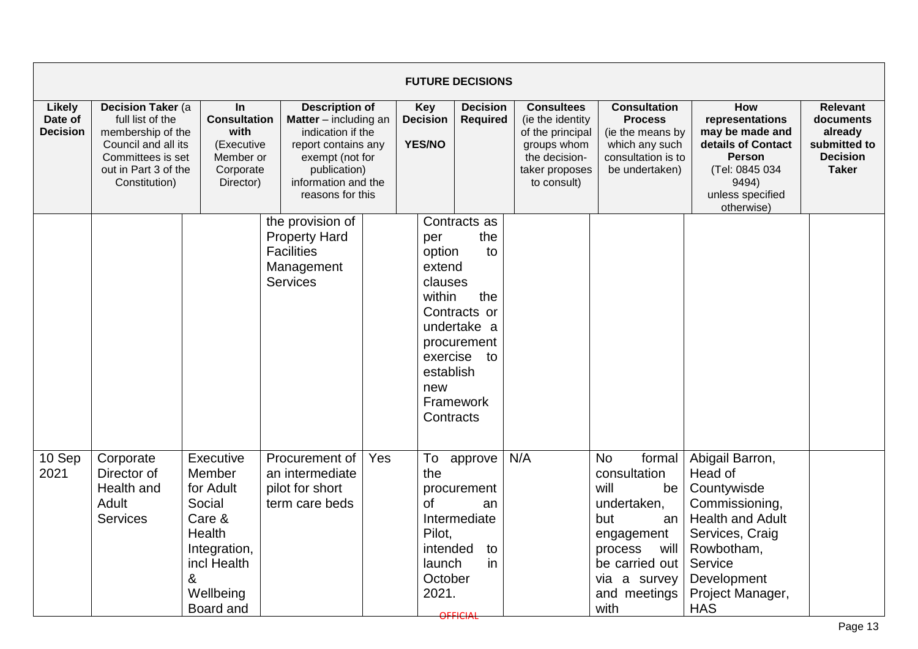|                                             |                                                                                                                                                 |                                                                                                                              |                                                                                                                                                                          |     |                                                                               | <b>FUTURE DECISIONS</b>                                                                                    |                                                                                                                            |                                                                                                                                                                          |                                                                                                                                                                                     |                                                                                            |
|---------------------------------------------|-------------------------------------------------------------------------------------------------------------------------------------------------|------------------------------------------------------------------------------------------------------------------------------|--------------------------------------------------------------------------------------------------------------------------------------------------------------------------|-----|-------------------------------------------------------------------------------|------------------------------------------------------------------------------------------------------------|----------------------------------------------------------------------------------------------------------------------------|--------------------------------------------------------------------------------------------------------------------------------------------------------------------------|-------------------------------------------------------------------------------------------------------------------------------------------------------------------------------------|--------------------------------------------------------------------------------------------|
| <b>Likely</b><br>Date of<br><b>Decision</b> | Decision Taker (a<br>full list of the<br>membership of the<br>Council and all its<br>Committees is set<br>out in Part 3 of the<br>Constitution) | <b>In</b><br><b>Consultation</b><br>with<br>(Executive<br>Member or<br>Corporate<br>Director)                                | <b>Description of</b><br>Matter - including an<br>indication if the<br>report contains any<br>exempt (not for<br>publication)<br>information and the<br>reasons for this |     | Key<br><b>Decision</b><br><b>YES/NO</b>                                       | <b>Decision</b><br><b>Required</b>                                                                         | <b>Consultees</b><br>(ie the identity<br>of the principal<br>groups whom<br>the decision-<br>taker proposes<br>to consult) | <b>Consultation</b><br><b>Process</b><br>(ie the means by<br>which any such<br>consultation is to<br>be undertaken)                                                      | How<br>representations<br>may be made and<br>details of Contact<br><b>Person</b><br>(Tel: 0845 034<br>9494)<br>unless specified<br>otherwise)                                       | <b>Relevant</b><br>documents<br>already<br>submitted to<br><b>Decision</b><br><b>Taker</b> |
|                                             |                                                                                                                                                 |                                                                                                                              | the provision of<br><b>Property Hard</b><br><b>Facilities</b><br>Management<br><b>Services</b>                                                                           |     | per<br>option<br>extend<br>clauses<br>within<br>establish<br>new<br>Contracts | Contracts as<br>the<br>to<br>the<br>Contracts or<br>undertake a<br>procurement<br>exercise to<br>Framework |                                                                                                                            |                                                                                                                                                                          |                                                                                                                                                                                     |                                                                                            |
| 10 Sep<br>2021                              | Corporate<br>Director of<br>Health and<br>Adult<br><b>Services</b>                                                                              | Executive<br>Member<br>for Adult<br>Social<br>Care &<br>Health<br>Integration,<br>incl Health<br>&<br>Wellbeing<br>Board and | Procurement of<br>an intermediate<br>pilot for short<br>term care beds                                                                                                   | Yes | To<br>the<br>of<br>Pilot,<br>intended<br>launch<br>October<br>2021.           | approve<br>procurement<br>an<br>Intermediate<br>to<br>in<br>OFFICIAL                                       | N/A                                                                                                                        | <b>No</b><br>formal<br>consultation<br>will<br>be<br>undertaken,<br>but<br>an<br>engagement<br>process<br>will<br>be carried out<br>via a survey<br>and meetings<br>with | Abigail Barron,<br>Head of<br>Countywisde<br>Commissioning,<br><b>Health and Adult</b><br>Services, Craig<br>Rowbotham,<br>Service<br>Development<br>Project Manager,<br><b>HAS</b> |                                                                                            |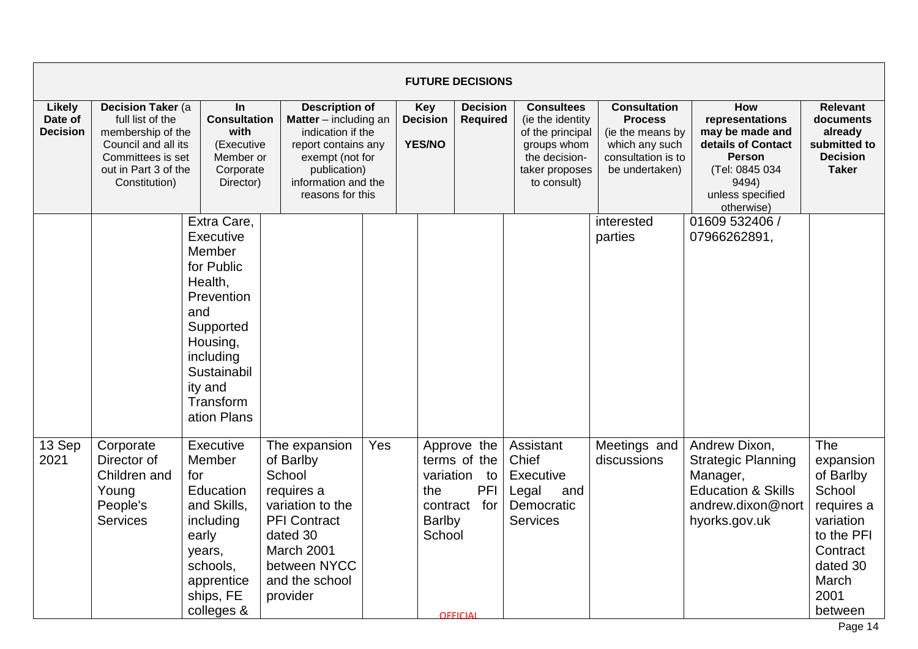|                                             |                                                                                                                                                 |                                                                                                                                                                              |                                                                                                                                                                          |                                         |                                            | <b>FUTURE DECISIONS</b>                                                      |                                                                                                                            |                                                                                                                     |                                                                                                                                               |                                                                                                                                      |
|---------------------------------------------|-------------------------------------------------------------------------------------------------------------------------------------------------|------------------------------------------------------------------------------------------------------------------------------------------------------------------------------|--------------------------------------------------------------------------------------------------------------------------------------------------------------------------|-----------------------------------------|--------------------------------------------|------------------------------------------------------------------------------|----------------------------------------------------------------------------------------------------------------------------|---------------------------------------------------------------------------------------------------------------------|-----------------------------------------------------------------------------------------------------------------------------------------------|--------------------------------------------------------------------------------------------------------------------------------------|
| <b>Likely</b><br>Date of<br><b>Decision</b> | Decision Taker (a<br>full list of the<br>membership of the<br>Council and all its<br>Committees is set<br>out in Part 3 of the<br>Constitution) | In<br><b>Consultation</b><br>with<br>(Executive<br>Member or<br>Corporate<br>Director)                                                                                       | <b>Description of</b><br>Matter - including an<br>indication if the<br>report contains any<br>exempt (not for<br>publication)<br>information and the<br>reasons for this | Key<br><b>Decision</b><br><b>YES/NO</b> |                                            | <b>Decision</b><br><b>Required</b>                                           | <b>Consultees</b><br>(ie the identity<br>of the principal<br>groups whom<br>the decision-<br>taker proposes<br>to consult) | <b>Consultation</b><br><b>Process</b><br>(ie the means by<br>which any such<br>consultation is to<br>be undertaken) | How<br>representations<br>may be made and<br>details of Contact<br><b>Person</b><br>(Tel: 0845 034<br>9494)<br>unless specified<br>otherwise) | <b>Relevant</b><br>documents<br>already<br>submitted to<br><b>Decision</b><br><b>Taker</b>                                           |
|                                             |                                                                                                                                                 | Extra Care,<br>Executive<br>Member<br>for Public<br>Health,<br>Prevention<br>and<br>Supported<br>Housing,<br>including<br>Sustainabil<br>ity and<br>Transform<br>ation Plans |                                                                                                                                                                          |                                         |                                            |                                                                              |                                                                                                                            | interested<br>parties                                                                                               | 01609 532406 /<br>07966262891,                                                                                                                |                                                                                                                                      |
| 13 Sep<br>2021                              | Corporate<br>Director of<br>Children and<br>Young<br>People's<br><b>Services</b>                                                                | Executive<br>Member<br>for<br>Education<br>and Skills,<br>including<br>early<br>years,<br>schools,<br>apprentice<br>ships, FE<br>colleges &                                  | The expansion<br>of Barlby<br>School<br>requires a<br>variation to the<br><b>PFI Contract</b><br>dated 30<br>March 2001<br>between NYCC<br>and the school<br>provider    | Yes                                     | the<br>contract<br><b>Barlby</b><br>School | Approve the<br>terms of the<br>variation to<br>PFI<br>for<br><b>OFFICIAL</b> | Assistant<br>Chief<br>Executive<br>Legal<br>and<br>Democratic<br><b>Services</b>                                           | Meetings and<br>discussions                                                                                         | Andrew Dixon,<br><b>Strategic Planning</b><br>Manager,<br><b>Education &amp; Skills</b><br>andrew.dixon@nort<br>hyorks.gov.uk                 | The<br>expansion<br>of Barlby<br>School<br>requires a<br>variation<br>to the PFI<br>Contract<br>dated 30<br>March<br>2001<br>between |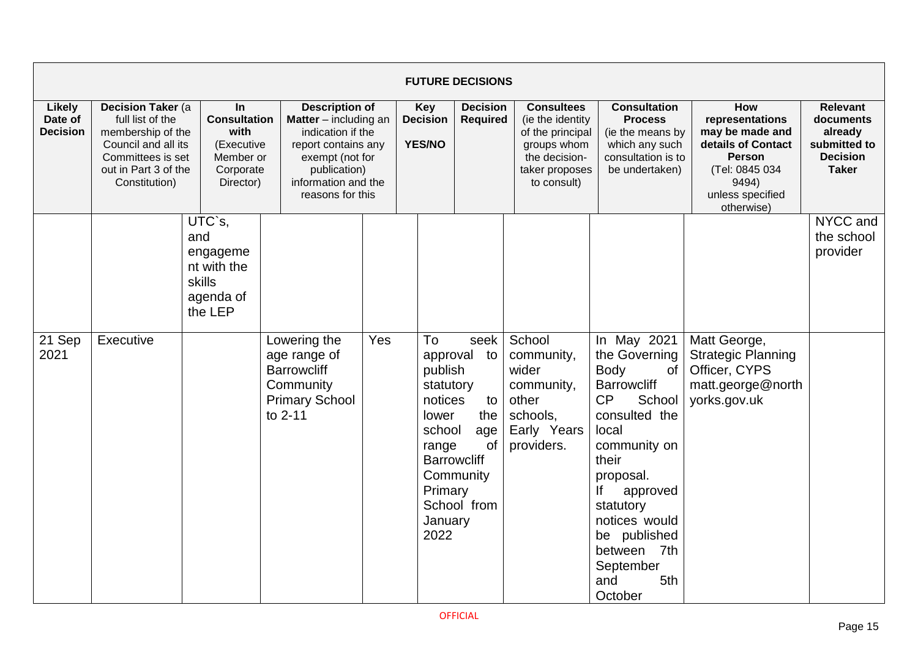|                                             |                                                                                                                                                 |                                                                                        |                                                                                                     |                                                                                                                                                                                   |  | <b>FUTURE DECISIONS</b>                                                                                                                                                                                   |                                                                                                                            |                                                                                                                                                                                                                                                                       |                                                                                                                                               |                                                                                            |
|---------------------------------------------|-------------------------------------------------------------------------------------------------------------------------------------------------|----------------------------------------------------------------------------------------|-----------------------------------------------------------------------------------------------------|-----------------------------------------------------------------------------------------------------------------------------------------------------------------------------------|--|-----------------------------------------------------------------------------------------------------------------------------------------------------------------------------------------------------------|----------------------------------------------------------------------------------------------------------------------------|-----------------------------------------------------------------------------------------------------------------------------------------------------------------------------------------------------------------------------------------------------------------------|-----------------------------------------------------------------------------------------------------------------------------------------------|--------------------------------------------------------------------------------------------|
| <b>Likely</b><br>Date of<br><b>Decision</b> | Decision Taker (a<br>full list of the<br>membership of the<br>Council and all its<br>Committees is set<br>out in Part 3 of the<br>Constitution) | In<br><b>Consultation</b><br>with<br>(Executive<br>Member or<br>Corporate<br>Director) |                                                                                                     | <b>Description of</b><br><b>Matter</b> $-$ including an<br>indication if the<br>report contains any<br>exempt (not for<br>publication)<br>information and the<br>reasons for this |  | <b>Decision</b><br><b>Key</b><br><b>Decision</b><br><b>Required</b><br><b>YES/NO</b>                                                                                                                      | <b>Consultees</b><br>(ie the identity<br>of the principal<br>groups whom<br>the decision-<br>taker proposes<br>to consult) | <b>Consultation</b><br><b>Process</b><br>(ie the means by<br>which any such<br>consultation is to<br>be undertaken)                                                                                                                                                   | How<br>representations<br>may be made and<br>details of Contact<br><b>Person</b><br>(Tel: 0845 034<br>9494)<br>unless specified<br>otherwise) | <b>Relevant</b><br>documents<br>already<br>submitted to<br><b>Decision</b><br><b>Taker</b> |
|                                             |                                                                                                                                                 | UTC`s,<br>and<br>engageme<br>nt with the<br>skills<br>agenda of<br>the LEP             |                                                                                                     |                                                                                                                                                                                   |  |                                                                                                                                                                                                           |                                                                                                                            |                                                                                                                                                                                                                                                                       |                                                                                                                                               | NYCC and<br>the school<br>provider                                                         |
| 21 Sep<br>2021                              | Executive                                                                                                                                       |                                                                                        | Lowering the<br>age range of<br><b>Barrowcliff</b><br>Community<br><b>Primary School</b><br>to 2-11 | Yes                                                                                                                                                                               |  | To<br>seek<br>approval to<br>publish<br>statutory<br>notices<br>to<br>lower<br>the<br>school<br>age<br><b>of</b><br>range<br><b>Barrowcliff</b><br>Community<br>Primary<br>School from<br>January<br>2022 | School<br>community,<br>wider<br>community,<br>other<br>schools,<br>Early Years<br>providers.                              | In May 2021<br>the Governing<br>Body<br>of<br><b>Barrowcliff</b><br>CP<br>School<br>consulted the<br>local<br>community on<br>their<br>proposal.<br>lf<br>approved<br>statutory<br>notices would<br>be published<br>between 7th<br>September<br>and<br>5th<br>October | Matt George,<br><b>Strategic Planning</b><br>Officer, CYPS<br>matt.george@north<br>yorks.gov.uk                                               |                                                                                            |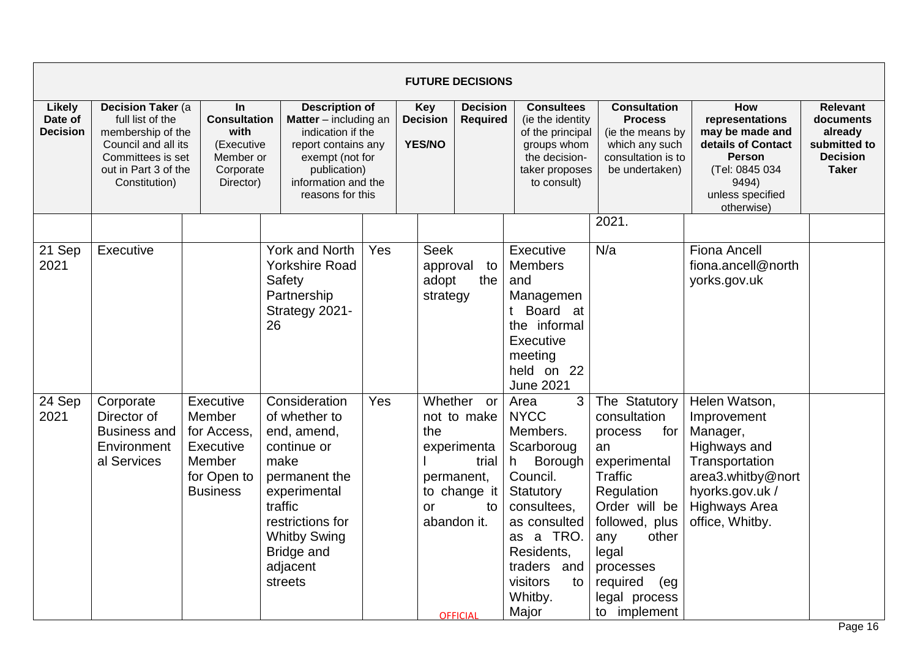|                                             |                                                                                                                                                 |                                                                                             |                                                                                                                                                                                                  |                                                                                                                                                                                                              |                                  | <b>FUTURE DECISIONS</b>                                                                                                 |                                                                                                                                                                                                             |                                                                                                                                                                                                                                |                                                                                                                                                               |                                                                                            |
|---------------------------------------------|-------------------------------------------------------------------------------------------------------------------------------------------------|---------------------------------------------------------------------------------------------|--------------------------------------------------------------------------------------------------------------------------------------------------------------------------------------------------|--------------------------------------------------------------------------------------------------------------------------------------------------------------------------------------------------------------|----------------------------------|-------------------------------------------------------------------------------------------------------------------------|-------------------------------------------------------------------------------------------------------------------------------------------------------------------------------------------------------------|--------------------------------------------------------------------------------------------------------------------------------------------------------------------------------------------------------------------------------|---------------------------------------------------------------------------------------------------------------------------------------------------------------|--------------------------------------------------------------------------------------------|
| <b>Likely</b><br>Date of<br><b>Decision</b> | Decision Taker (a<br>full list of the<br>membership of the<br>Council and all its<br>Committees is set<br>out in Part 3 of the<br>Constitution) | In<br><b>Consultation</b><br>with<br>(Executive<br>Member or<br>Corporate<br>Director)      |                                                                                                                                                                                                  | <b>Description of</b><br>Matter - including an<br><b>Decision</b><br>indication if the<br><b>YES/NO</b><br>report contains any<br>exempt (not for<br>publication)<br>information and the<br>reasons for this |                                  | <b>Decision</b><br><b>Required</b>                                                                                      | <b>Consultees</b><br>(ie the identity<br>of the principal<br>groups whom<br>the decision-<br>taker proposes<br>to consult)                                                                                  | <b>Consultation</b><br><b>Process</b><br>(ie the means by<br>which any such<br>consultation is to<br>be undertaken)                                                                                                            | How<br>representations<br>may be made and<br>details of Contact<br><b>Person</b><br>(Tel: 0845 034<br>9494)<br>unless specified<br>otherwise)                 | <b>Relevant</b><br>documents<br>already<br>submitted to<br><b>Decision</b><br><b>Taker</b> |
| 21 Sep<br>2021                              | Executive                                                                                                                                       |                                                                                             | York and North<br><b>Yorkshire Road</b><br>Safety<br>Partnership<br>Strategy 2021-<br>26                                                                                                         | Yes                                                                                                                                                                                                          | <b>Seek</b><br>adopt<br>strategy | approval<br>to<br>the                                                                                                   | Executive<br><b>Members</b><br>and<br>Managemen<br>Board at<br>the informal<br>Executive<br>meeting<br>held on 22<br><b>June 2021</b>                                                                       | 2021.<br>N/a                                                                                                                                                                                                                   | <b>Fiona Ancell</b><br>fiona.ancell@north<br>yorks.gov.uk                                                                                                     |                                                                                            |
| 24 Sep<br>2021                              | Corporate<br>Director of<br><b>Business and</b><br>Environment<br>al Services                                                                   | Executive<br>Member<br>for Access,<br>Executive<br>Member<br>for Open to<br><b>Business</b> | Consideration<br>of whether to<br>end, amend,<br>continue or<br>make<br>permanent the<br>experimental<br>traffic<br>restrictions for<br><b>Whitby Swing</b><br>Bridge and<br>adjacent<br>streets | Yes                                                                                                                                                                                                          | the<br>or                        | Whether or<br>not to make<br>experimenta<br>trial<br>permanent,<br>to change it<br>to<br>abandon it.<br><b>OFFICIAL</b> | 3<br>Area<br><b>NYCC</b><br>Members.<br>Scarboroug<br>Borough<br>h.<br>Council.<br>Statutory<br>consultees,<br>as consulted<br>as a TRO.<br>Residents,<br>traders and<br>visitors<br>to<br>Whitby.<br>Major | The Statutory<br>consultation<br>process<br>for<br>an<br>experimental<br>Traffic<br>Regulation<br>Order will be<br>followed, plus<br>other<br>any<br>legal<br>processes<br>required<br>(eg<br>legal process<br>implement<br>to | Helen Watson,<br>Improvement<br>Manager,<br>Highways and<br>Transportation<br>area3.whitby@nort<br>hyorks.gov.uk /<br><b>Highways Area</b><br>office, Whitby. |                                                                                            |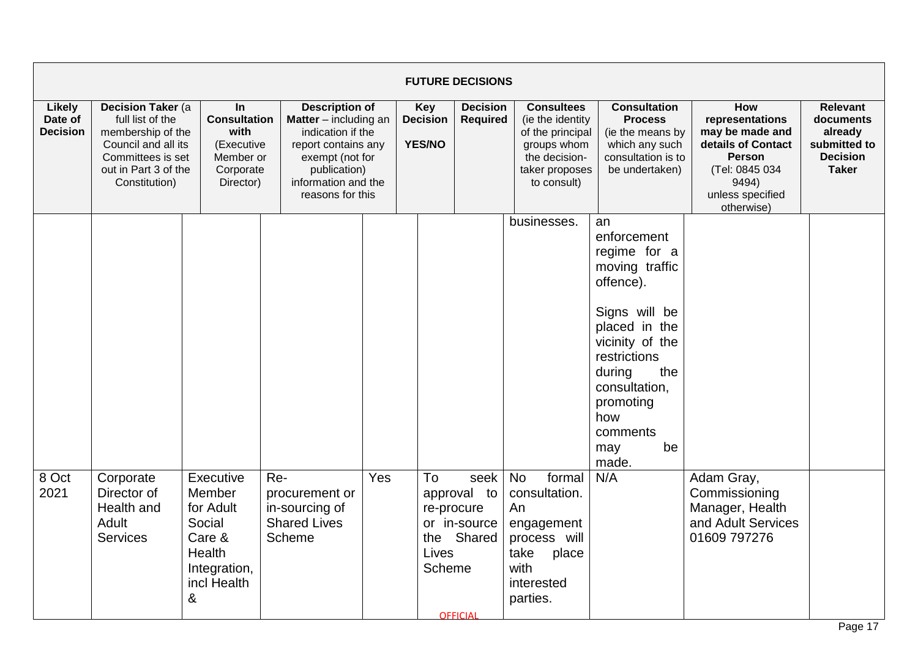|                                             |                                                                                                                                                         |                                                                                                    |                                                                          |                                                                                                                                                                          |                       | <b>FUTURE DECISIONS</b>                                                            |                                                                                                                                            |                                                                                                                                                                                                                                      |                                                                                                                                                      |                                                                                            |
|---------------------------------------------|---------------------------------------------------------------------------------------------------------------------------------------------------------|----------------------------------------------------------------------------------------------------|--------------------------------------------------------------------------|--------------------------------------------------------------------------------------------------------------------------------------------------------------------------|-----------------------|------------------------------------------------------------------------------------|--------------------------------------------------------------------------------------------------------------------------------------------|--------------------------------------------------------------------------------------------------------------------------------------------------------------------------------------------------------------------------------------|------------------------------------------------------------------------------------------------------------------------------------------------------|--------------------------------------------------------------------------------------------|
| <b>Likely</b><br>Date of<br><b>Decision</b> | <b>Decision Taker (a)</b><br>full list of the<br>membership of the<br>Council and all its<br>Committees is set<br>out in Part 3 of the<br>Constitution) | <b>In</b><br><b>Consultation</b><br>with<br>(Executive<br>Member or<br>Corporate<br>Director)      |                                                                          | <b>Description of</b><br>Matter - including an<br>indication if the<br>report contains any<br>exempt (not for<br>publication)<br>information and the<br>reasons for this |                       | <b>Decision</b><br><b>Required</b>                                                 | <b>Consultees</b><br>(ie the identity<br>of the principal<br>groups whom<br>the decision-<br>taker proposes<br>to consult)                 | <b>Consultation</b><br><b>Process</b><br>(ie the means by<br>which any such<br>consultation is to<br>be undertaken)                                                                                                                  | <b>How</b><br>representations<br>may be made and<br>details of Contact<br><b>Person</b><br>(Tel: 0845 034<br>9494)<br>unless specified<br>otherwise) | <b>Relevant</b><br>documents<br>already<br>submitted to<br><b>Decision</b><br><b>Taker</b> |
| 8 Oct<br>2021                               | Corporate<br>Director of<br>Health and<br>Adult<br><b>Services</b>                                                                                      | Executive<br>Member<br>for Adult<br>Social<br>Care &<br>Health<br>Integration,<br>incl Health<br>& | Re-<br>procurement or<br>in-sourcing of<br><b>Shared Lives</b><br>Scheme | Yes                                                                                                                                                                      | To<br>Lives<br>Scheme | seek<br>approval to<br>re-procure<br>or in-source<br>the Shared<br><b>OFFICIAL</b> | businesses.<br><b>No</b><br>formal<br>consultation.<br>An<br>engagement<br>process will<br>take<br>place<br>with<br>interested<br>parties. | an<br>enforcement<br>regime for a<br>moving traffic<br>offence).<br>Signs will be<br>placed in the<br>vicinity of the<br>restrictions<br>during<br>the<br>consultation,<br>promoting<br>how<br>comments<br>be<br>may<br>made.<br>N/A | Adam Gray,<br>Commissioning<br>Manager, Health<br>and Adult Services<br>01609 797276                                                                 |                                                                                            |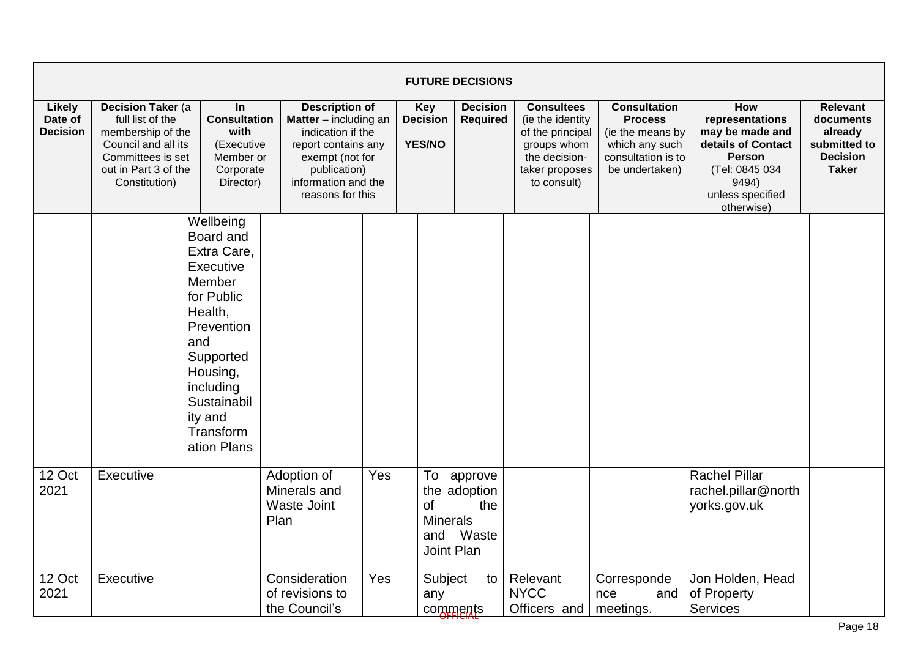|                                             |                                                                                                                                                         |                                                                                                                                                                                                        |                                                           |                                                                                                                                                                                   |                                                  | <b>FUTURE DECISIONS</b>                     |                                                                                                                            |                                                                                                                     |                                                                                                                                                      |                                                                                            |
|---------------------------------------------|---------------------------------------------------------------------------------------------------------------------------------------------------------|--------------------------------------------------------------------------------------------------------------------------------------------------------------------------------------------------------|-----------------------------------------------------------|-----------------------------------------------------------------------------------------------------------------------------------------------------------------------------------|--------------------------------------------------|---------------------------------------------|----------------------------------------------------------------------------------------------------------------------------|---------------------------------------------------------------------------------------------------------------------|------------------------------------------------------------------------------------------------------------------------------------------------------|--------------------------------------------------------------------------------------------|
| <b>Likely</b><br>Date of<br><b>Decision</b> | <b>Decision Taker (a)</b><br>full list of the<br>membership of the<br>Council and all its<br>Committees is set<br>out in Part 3 of the<br>Constitution) | In<br><b>Consultation</b><br>with<br>(Executive<br>Member or<br>Corporate<br>Director)                                                                                                                 |                                                           | <b>Description of</b><br><b>Matter</b> $-$ including an<br>indication if the<br>report contains any<br>exempt (not for<br>publication)<br>information and the<br>reasons for this |                                                  | <b>Decision</b><br>Required                 | <b>Consultees</b><br>(ie the identity<br>of the principal<br>groups whom<br>the decision-<br>taker proposes<br>to consult) | <b>Consultation</b><br><b>Process</b><br>(ie the means by<br>which any such<br>consultation is to<br>be undertaken) | <b>How</b><br>representations<br>may be made and<br>details of Contact<br><b>Person</b><br>(Tel: 0845 034<br>9494)<br>unless specified<br>otherwise) | <b>Relevant</b><br>documents<br>already<br>submitted to<br><b>Decision</b><br><b>Taker</b> |
|                                             |                                                                                                                                                         | Wellbeing<br>Board and<br>Extra Care,<br>Executive<br>Member<br>for Public<br>Health,<br>Prevention<br>and<br>Supported<br>Housing,<br>including<br>Sustainabil<br>ity and<br>Transform<br>ation Plans |                                                           |                                                                                                                                                                                   |                                                  |                                             |                                                                                                                            |                                                                                                                     |                                                                                                                                                      |                                                                                            |
| 12 Oct<br>2021                              | Executive                                                                                                                                               |                                                                                                                                                                                                        | Adoption of<br>Minerals and<br><b>Waste Joint</b><br>Plan | Yes                                                                                                                                                                               | To<br><b>of</b><br><b>Minerals</b><br>Joint Plan | approve<br>the adoption<br>the<br>and Waste |                                                                                                                            |                                                                                                                     | <b>Rachel Pillar</b><br>rachel.pillar@north<br>yorks.gov.uk                                                                                          |                                                                                            |
| 12 Oct<br>2021                              | Executive                                                                                                                                               |                                                                                                                                                                                                        | Consideration<br>of revisions to<br>the Council's         | Yes                                                                                                                                                                               | Subject<br>any<br>comments                       | to                                          | Relevant<br><b>NYCC</b><br>Officers and                                                                                    | Corresponde<br>and<br>nce<br>meetings.                                                                              | Jon Holden, Head<br>of Property<br><b>Services</b>                                                                                                   |                                                                                            |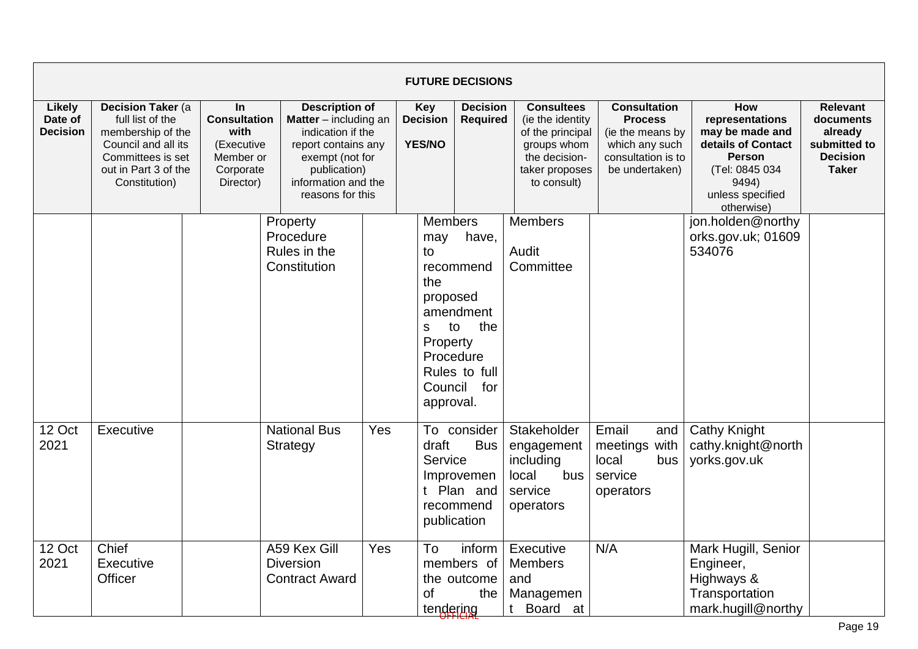|                                             |                                                                                                                                                         |                                                                                        |                                                                                                                                                                                   |     |                                                                                         | <b>FUTURE DECISIONS</b>                                                           |                                                                                                                            |                                                                                                                     |                                                                                                                                               |                                                                                            |
|---------------------------------------------|---------------------------------------------------------------------------------------------------------------------------------------------------------|----------------------------------------------------------------------------------------|-----------------------------------------------------------------------------------------------------------------------------------------------------------------------------------|-----|-----------------------------------------------------------------------------------------|-----------------------------------------------------------------------------------|----------------------------------------------------------------------------------------------------------------------------|---------------------------------------------------------------------------------------------------------------------|-----------------------------------------------------------------------------------------------------------------------------------------------|--------------------------------------------------------------------------------------------|
| <b>Likely</b><br>Date of<br><b>Decision</b> | <b>Decision Taker (a)</b><br>full list of the<br>membership of the<br>Council and all its<br>Committees is set<br>out in Part 3 of the<br>Constitution) | In<br><b>Consultation</b><br>with<br>(Executive<br>Member or<br>Corporate<br>Director) | <b>Description of</b><br><b>Matter</b> $-$ including an<br>indication if the<br>report contains any<br>exempt (not for<br>publication)<br>information and the<br>reasons for this |     | <b>Key</b><br><b>Decision</b><br><b>YES/NO</b>                                          | <b>Decision</b><br><b>Required</b>                                                | <b>Consultees</b><br>(ie the identity<br>of the principal<br>groups whom<br>the decision-<br>taker proposes<br>to consult) | <b>Consultation</b><br><b>Process</b><br>(ie the means by<br>which any such<br>consultation is to<br>be undertaken) | How<br>representations<br>may be made and<br>details of Contact<br><b>Person</b><br>(Tel: 0845 034<br>9494)<br>unless specified<br>otherwise) | <b>Relevant</b><br>documents<br>already<br>submitted to<br><b>Decision</b><br><b>Taker</b> |
|                                             |                                                                                                                                                         |                                                                                        | Property<br>Procedure<br>Rules in the<br>Constitution                                                                                                                             |     | <b>Members</b><br>may<br>to<br>the<br>proposed<br>S<br>Property<br>Council<br>approval. | have,<br>recommend<br>amendment<br>to<br>the<br>Procedure<br>Rules to full<br>for | <b>Members</b><br>Audit<br>Committee                                                                                       |                                                                                                                     | jon.holden@northy<br>orks.gov.uk; 01609<br>534076                                                                                             |                                                                                            |
| 12 Oct<br>2021                              | Executive                                                                                                                                               |                                                                                        | <b>National Bus</b><br>Strategy                                                                                                                                                   | Yes | draft<br>Service                                                                        | To consider<br><b>Bus</b><br>Improvemen<br>t Plan and<br>recommend<br>publication | Stakeholder<br>engagement<br>including<br>local<br>bus<br>service<br>operators                                             | Email<br>and<br>meetings with<br>local<br>bus<br>service<br>operators                                               | <b>Cathy Knight</b><br>cathy.knight@north<br>yorks.gov.uk                                                                                     |                                                                                            |
| 12 Oct<br>2021                              | Chief<br>Executive<br>Officer                                                                                                                           |                                                                                        | A59 Kex Gill<br><b>Diversion</b><br><b>Contract Award</b>                                                                                                                         | Yes | To<br><sub>of</sub><br>tendering                                                        | inform<br>members of<br>the outcome<br>the                                        | Executive<br><b>Members</b><br>and<br>Managemen<br>Board<br>at<br>t                                                        | N/A                                                                                                                 | Mark Hugill, Senior<br>Engineer,<br>Highways &<br>Transportation<br>mark.hugill@northy                                                        |                                                                                            |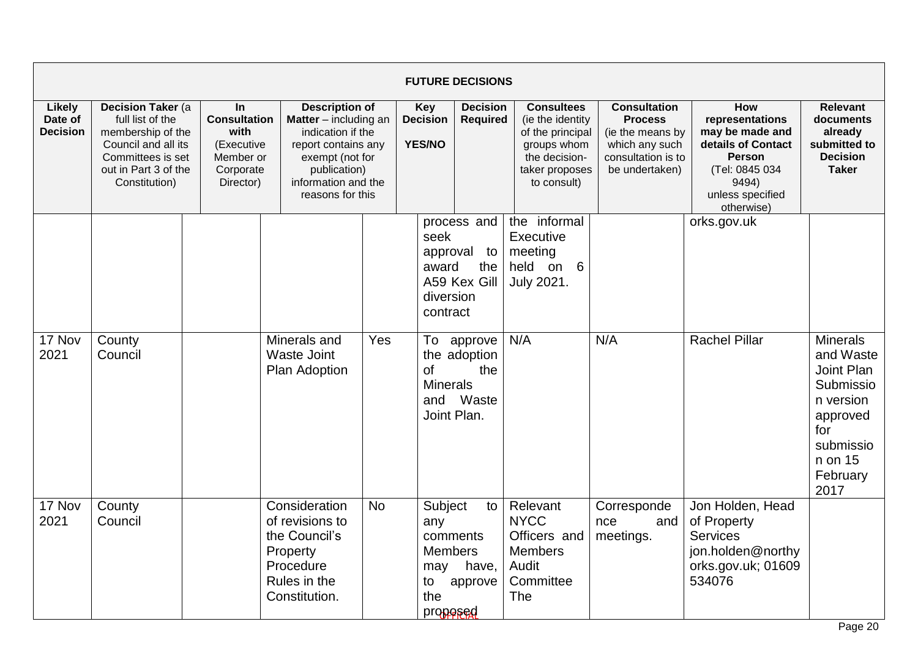|                                             |                                                                                                                                                 |                                                                                        |                                                                                                                                                                                   |           |                                                                              | <b>FUTURE DECISIONS</b>                     |                                                                                                                            |                                                                                                                     |                                                                                                                                               |                                                                                                                                     |
|---------------------------------------------|-------------------------------------------------------------------------------------------------------------------------------------------------|----------------------------------------------------------------------------------------|-----------------------------------------------------------------------------------------------------------------------------------------------------------------------------------|-----------|------------------------------------------------------------------------------|---------------------------------------------|----------------------------------------------------------------------------------------------------------------------------|---------------------------------------------------------------------------------------------------------------------|-----------------------------------------------------------------------------------------------------------------------------------------------|-------------------------------------------------------------------------------------------------------------------------------------|
| <b>Likely</b><br>Date of<br><b>Decision</b> | Decision Taker (a<br>full list of the<br>membership of the<br>Council and all its<br>Committees is set<br>out in Part 3 of the<br>Constitution) | In<br><b>Consultation</b><br>with<br>(Executive<br>Member or<br>Corporate<br>Director) | <b>Description of</b><br><b>Matter</b> $-$ including an<br>indication if the<br>report contains any<br>exempt (not for<br>publication)<br>information and the<br>reasons for this |           | Key<br><b>Decision</b><br><b>YES/NO</b>                                      | <b>Decision</b><br><b>Required</b>          | <b>Consultees</b><br>(ie the identity<br>of the principal<br>groups whom<br>the decision-<br>taker proposes<br>to consult) | <b>Consultation</b><br><b>Process</b><br>(ie the means by<br>which any such<br>consultation is to<br>be undertaken) | How<br>representations<br>may be made and<br>details of Contact<br><b>Person</b><br>(Tel: 0845 034<br>9494)<br>unless specified<br>otherwise) | <b>Relevant</b><br>documents<br>already<br>submitted to<br><b>Decision</b><br><b>Taker</b>                                          |
|                                             |                                                                                                                                                 |                                                                                        |                                                                                                                                                                                   |           | seek<br>approval<br>award<br>diversion<br>contract                           | process and<br>to<br>the<br>A59 Kex Gill    | the informal<br>Executive<br>meeting<br>held on 6<br>July 2021.                                                            |                                                                                                                     | orks.gov.uk                                                                                                                                   |                                                                                                                                     |
| 17 Nov<br>2021                              | County<br>Council                                                                                                                               |                                                                                        | Minerals and<br><b>Waste Joint</b><br><b>Plan Adoption</b>                                                                                                                        | Yes       | To<br><b>of</b><br><b>Minerals</b><br>Joint Plan.                            | approve<br>the adoption<br>the<br>and Waste | N/A                                                                                                                        | N/A                                                                                                                 | <b>Rachel Pillar</b>                                                                                                                          | <b>Minerals</b><br>and Waste<br>Joint Plan<br>Submissio<br>n version<br>approved<br>for<br>submissio<br>n on 15<br>February<br>2017 |
| 17 Nov<br>2021                              | County<br>Council                                                                                                                               |                                                                                        | Consideration<br>of revisions to<br>the Council's<br>Property<br>Procedure<br>Rules in the<br>Constitution.                                                                       | <b>No</b> | Subject<br>any<br>comments<br><b>Members</b><br>may<br>to<br>the<br>propesed | to<br>have,<br>approve                      | Relevant<br><b>NYCC</b><br>Officers and<br><b>Members</b><br>Audit<br>Committee<br>The                                     | Corresponde<br>and<br>nce<br>meetings.                                                                              | Jon Holden, Head<br>of Property<br><b>Services</b><br>jon.holden@northy<br>orks.gov.uk; 01609<br>534076                                       |                                                                                                                                     |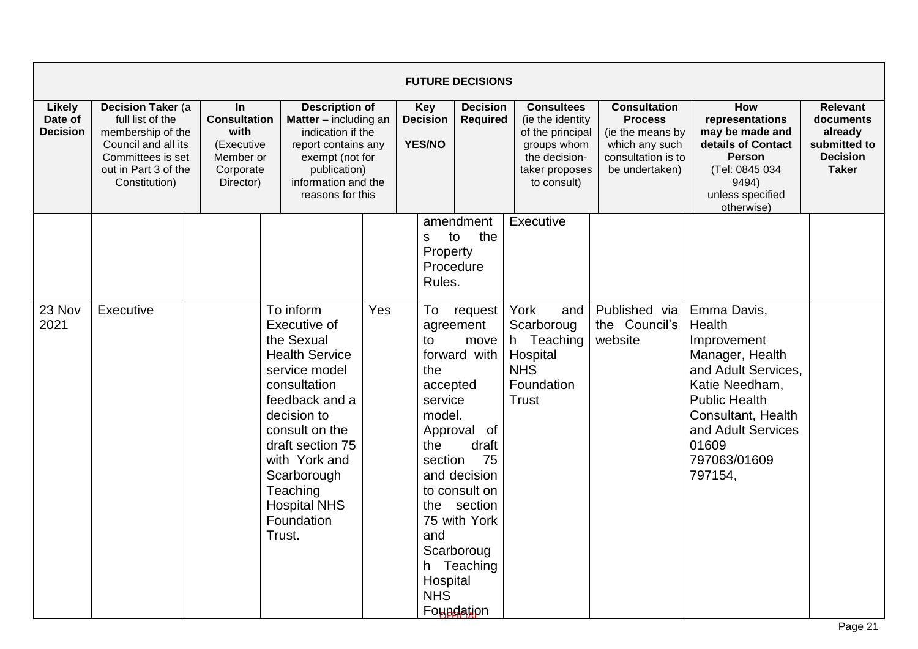|                                      |                                                                                                                                                 |                                                                                               |                                                                                                                                                                                                                                                        |                                                                                                                                                                          |                                                                                                      | <b>FUTURE DECISIONS</b>                                                                                                                                               |                                                                                                                            |                                                                                                                     |                                                                                                                                                                                           |                                                                                            |
|--------------------------------------|-------------------------------------------------------------------------------------------------------------------------------------------------|-----------------------------------------------------------------------------------------------|--------------------------------------------------------------------------------------------------------------------------------------------------------------------------------------------------------------------------------------------------------|--------------------------------------------------------------------------------------------------------------------------------------------------------------------------|------------------------------------------------------------------------------------------------------|-----------------------------------------------------------------------------------------------------------------------------------------------------------------------|----------------------------------------------------------------------------------------------------------------------------|---------------------------------------------------------------------------------------------------------------------|-------------------------------------------------------------------------------------------------------------------------------------------------------------------------------------------|--------------------------------------------------------------------------------------------|
| Likely<br>Date of<br><b>Decision</b> | Decision Taker (a<br>full list of the<br>membership of the<br>Council and all its<br>Committees is set<br>out in Part 3 of the<br>Constitution) | <b>In</b><br><b>Consultation</b><br>with<br>(Executive<br>Member or<br>Corporate<br>Director) |                                                                                                                                                                                                                                                        | <b>Description of</b><br>Matter - including an<br>indication if the<br>report contains any<br>exempt (not for<br>publication)<br>information and the<br>reasons for this |                                                                                                      | <b>Decision</b><br><b>Required</b>                                                                                                                                    | <b>Consultees</b><br>(ie the identity<br>of the principal<br>groups whom<br>the decision-<br>taker proposes<br>to consult) | <b>Consultation</b><br><b>Process</b><br>(ie the means by<br>which any such<br>consultation is to<br>be undertaken) | How<br>representations<br>may be made and<br>details of Contact<br><b>Person</b><br>(Tel: 0845 034<br>9494)<br>unless specified<br>otherwise)                                             | <b>Relevant</b><br>documents<br>already<br>submitted to<br><b>Decision</b><br><b>Taker</b> |
| 23 Nov                               | Executive                                                                                                                                       |                                                                                               | To inform                                                                                                                                                                                                                                              | Yes                                                                                                                                                                      | S<br>Property<br>Rules.<br>To                                                                        | amendment<br>the<br>to<br>Procedure<br>request                                                                                                                        | Executive<br>York<br>and                                                                                                   | Published via                                                                                                       | Emma Davis,                                                                                                                                                                               |                                                                                            |
| 2021                                 |                                                                                                                                                 |                                                                                               | Executive of<br>the Sexual<br><b>Health Service</b><br>service model<br>consultation<br>feedback and a<br>decision to<br>consult on the<br>draft section 75<br>with York and<br>Scarborough<br>Teaching<br><b>Hospital NHS</b><br>Foundation<br>Trust. |                                                                                                                                                                          | to<br>the<br>accepted<br>service<br>model.<br>the<br>section<br>the<br>and<br>Hospital<br><b>NHS</b> | agreement<br>move<br>forward with<br>Approval of<br>draft<br>75<br>and decision<br>to consult on<br>section<br>75 with York<br>Scarboroug<br>h Teaching<br>Foundation | Scarboroug<br>h Teaching<br>Hospital<br><b>NHS</b><br>Foundation<br><b>Trust</b>                                           | the Council's<br>website                                                                                            | Health<br>Improvement<br>Manager, Health<br>and Adult Services.<br>Katie Needham,<br><b>Public Health</b><br>Consultant, Health<br>and Adult Services<br>01609<br>797063/01609<br>797154, |                                                                                            |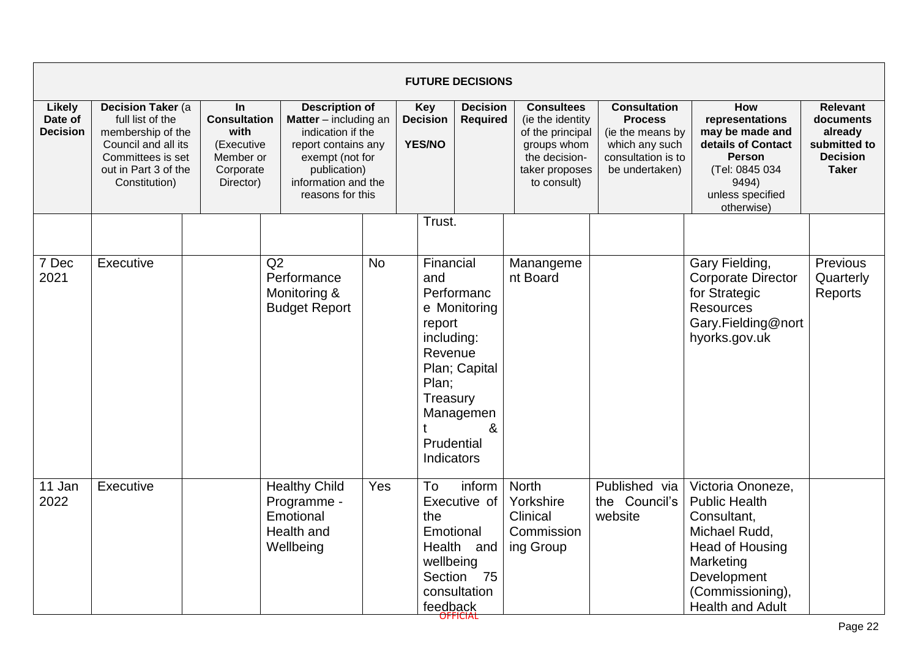|                                      |                                                                                                                                                         |                                                                                        |                                                                                                                                                                                   |           |                                                                                                      | <b>FUTURE DECISIONS</b>                                            |                                                                                                                            |                                                                                                                     |                                                                                                                                                                         |                                                                                            |
|--------------------------------------|---------------------------------------------------------------------------------------------------------------------------------------------------------|----------------------------------------------------------------------------------------|-----------------------------------------------------------------------------------------------------------------------------------------------------------------------------------|-----------|------------------------------------------------------------------------------------------------------|--------------------------------------------------------------------|----------------------------------------------------------------------------------------------------------------------------|---------------------------------------------------------------------------------------------------------------------|-------------------------------------------------------------------------------------------------------------------------------------------------------------------------|--------------------------------------------------------------------------------------------|
| Likely<br>Date of<br><b>Decision</b> | <b>Decision Taker (a)</b><br>full list of the<br>membership of the<br>Council and all its<br>Committees is set<br>out in Part 3 of the<br>Constitution) | In<br><b>Consultation</b><br>with<br>(Executive<br>Member or<br>Corporate<br>Director) | <b>Description of</b><br><b>Matter</b> $-$ including an<br>indication if the<br>report contains any<br>exempt (not for<br>publication)<br>information and the<br>reasons for this |           | <b>Key</b><br><b>Decision</b><br><b>YES/NO</b>                                                       | <b>Decision</b><br><b>Required</b>                                 | <b>Consultees</b><br>(ie the identity<br>of the principal<br>groups whom<br>the decision-<br>taker proposes<br>to consult) | <b>Consultation</b><br><b>Process</b><br>(ie the means by<br>which any such<br>consultation is to<br>be undertaken) | How<br>representations<br>may be made and<br>details of Contact<br><b>Person</b><br>(Tel: 0845 034<br>9494)<br>unless specified<br>otherwise)                           | <b>Relevant</b><br>documents<br>already<br>submitted to<br><b>Decision</b><br><b>Taker</b> |
|                                      |                                                                                                                                                         |                                                                                        |                                                                                                                                                                                   |           | Trust.                                                                                               |                                                                    |                                                                                                                            |                                                                                                                     |                                                                                                                                                                         |                                                                                            |
| 7 Dec<br>2021                        | Executive                                                                                                                                               |                                                                                        | Q2<br>Performance<br>Monitoring &<br><b>Budget Report</b>                                                                                                                         | <b>No</b> | Financial<br>and<br>report<br>including:<br>Revenue<br>Plan;<br>Treasury<br>Prudential<br>Indicators | Performanc<br>e Monitoring<br>Plan; Capital<br>Managemen<br>&      | Manangeme<br>nt Board                                                                                                      |                                                                                                                     | Gary Fielding,<br><b>Corporate Director</b><br>for Strategic<br><b>Resources</b><br>Gary.Fielding@nort<br>hyorks.gov.uk                                                 | Previous<br>Quarterly<br>Reports                                                           |
| 11 Jan<br>2022                       | Executive                                                                                                                                               |                                                                                        | <b>Healthy Child</b><br>Programme -<br>Emotional<br>Health and<br>Wellbeing                                                                                                       | Yes       | To<br>the<br>Emotional<br>wellbeing<br>feedback                                                      | inform<br>Executive of<br>Health and<br>Section 75<br>consultation | <b>North</b><br>Yorkshire<br>Clinical<br>Commission<br>ing Group                                                           | Published via<br>the Council's<br>website                                                                           | Victoria Ononeze,<br><b>Public Health</b><br>Consultant,<br>Michael Rudd,<br>Head of Housing<br>Marketing<br>Development<br>(Commissioning),<br><b>Health and Adult</b> |                                                                                            |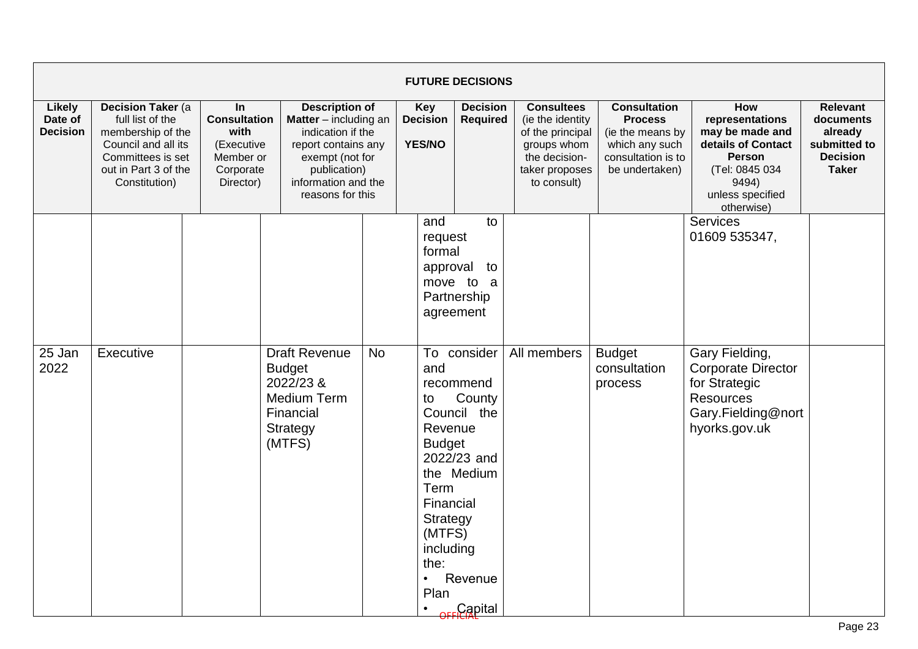|                                             |                                                                                                                                                 |                                                                                               |                                                                                                             |                                                                                                                                                                          |                                                                                                                                                                    | <b>FUTURE DECISIONS</b>                                                                                                                                          |             |                                          |                                                                                                                                                      |                                                                                                                     |                                                                                                                                                      |                                                                                            |
|---------------------------------------------|-------------------------------------------------------------------------------------------------------------------------------------------------|-----------------------------------------------------------------------------------------------|-------------------------------------------------------------------------------------------------------------|--------------------------------------------------------------------------------------------------------------------------------------------------------------------------|--------------------------------------------------------------------------------------------------------------------------------------------------------------------|------------------------------------------------------------------------------------------------------------------------------------------------------------------|-------------|------------------------------------------|------------------------------------------------------------------------------------------------------------------------------------------------------|---------------------------------------------------------------------------------------------------------------------|------------------------------------------------------------------------------------------------------------------------------------------------------|--------------------------------------------------------------------------------------------|
| <b>Likely</b><br>Date of<br><b>Decision</b> | Decision Taker (a<br>full list of the<br>membership of the<br>Council and all its<br>Committees is set<br>out in Part 3 of the<br>Constitution) | <b>In</b><br><b>Consultation</b><br>with<br>(Executive<br>Member or<br>Corporate<br>Director) |                                                                                                             | <b>Description of</b><br>Matter - including an<br>indication if the<br>report contains any<br>exempt (not for<br>publication)<br>information and the<br>reasons for this |                                                                                                                                                                    | Key<br><b>Decision</b><br><b>YES/NO</b>                                                                                                                          |             | <b>Decision</b><br><b>Required</b>       | <b>Consultees</b><br>(ie the identity<br>of the principal<br>groups whom<br>the decision-<br>taker proposes<br>to consult)                           | <b>Consultation</b><br><b>Process</b><br>(ie the means by<br>which any such<br>consultation is to<br>be undertaken) | <b>How</b><br>representations<br>may be made and<br>details of Contact<br><b>Person</b><br>(Tel: 0845 034<br>9494)<br>unless specified<br>otherwise) | <b>Relevant</b><br>documents<br>already<br>submitted to<br><b>Decision</b><br><b>Taker</b> |
| 25 Jan<br>2022                              | Executive                                                                                                                                       |                                                                                               | <b>Draft Revenue</b><br><b>Budget</b><br>2022/23 &<br><b>Medium Term</b><br>Financial<br>Strategy<br>(MTFS) | <b>No</b>                                                                                                                                                                | and<br>request<br>formal<br>approval<br>and<br>to<br>Revenue<br><b>Budget</b><br>Term<br>Financial<br>Strategy<br>(MTFS)<br>including<br>the:<br>$\bullet$<br>Plan | to<br>to<br>move to a<br>Partnership<br>agreement<br>To consider<br>recommend<br>County<br>Council the<br>2022/23 and<br>the Medium<br>Revenue<br><b>Capital</b> | All members | <b>Budget</b><br>consultation<br>process | Services<br>01609 535347,<br>Gary Fielding,<br><b>Corporate Director</b><br>for Strategic<br><b>Resources</b><br>Gary.Fielding@nort<br>hyorks.gov.uk |                                                                                                                     |                                                                                                                                                      |                                                                                            |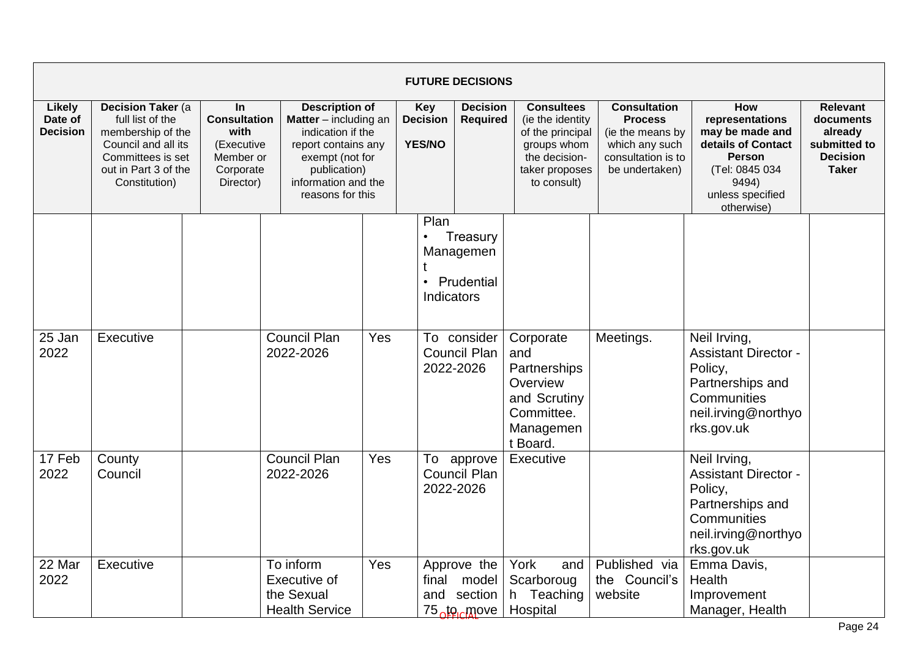|                                             |                                                                                                                                                         |                                                                                               |                                                                                                                                                                          |                  |                                                | <b>FUTURE DECISIONS</b>                               |                                                                                                                            |                                                                                                                     |                                                                                                                                               |                                                                                     |
|---------------------------------------------|---------------------------------------------------------------------------------------------------------------------------------------------------------|-----------------------------------------------------------------------------------------------|--------------------------------------------------------------------------------------------------------------------------------------------------------------------------|------------------|------------------------------------------------|-------------------------------------------------------|----------------------------------------------------------------------------------------------------------------------------|---------------------------------------------------------------------------------------------------------------------|-----------------------------------------------------------------------------------------------------------------------------------------------|-------------------------------------------------------------------------------------|
| <b>Likely</b><br>Date of<br><b>Decision</b> | <b>Decision Taker (a)</b><br>full list of the<br>membership of the<br>Council and all its<br>Committees is set<br>out in Part 3 of the<br>Constitution) | <b>In</b><br><b>Consultation</b><br>with<br>(Executive<br>Member or<br>Corporate<br>Director) | <b>Description of</b><br>Matter - including an<br>indication if the<br>report contains any<br>exempt (not for<br>publication)<br>information and the<br>reasons for this |                  | <b>Key</b><br><b>Decision</b><br><b>YES/NO</b> | <b>Decision</b><br><b>Required</b>                    | <b>Consultees</b><br>(ie the identity<br>of the principal<br>groups whom<br>the decision-<br>taker proposes<br>to consult) | <b>Consultation</b><br><b>Process</b><br>(ie the means by<br>which any such<br>consultation is to<br>be undertaken) | How<br>representations<br>may be made and<br>details of Contact<br><b>Person</b><br>(Tel: 0845 034<br>9494)<br>unless specified<br>otherwise) | Relevant<br>documents<br>already<br>submitted to<br><b>Decision</b><br><b>Taker</b> |
|                                             |                                                                                                                                                         |                                                                                               |                                                                                                                                                                          |                  | Plan<br>$\bullet$<br>$\bullet$<br>Indicators   | Treasury<br>Managemen<br>Prudential                   |                                                                                                                            |                                                                                                                     |                                                                                                                                               |                                                                                     |
| 25 Jan<br>2022                              | Executive                                                                                                                                               |                                                                                               | <b>Council Plan</b><br>2022-2026                                                                                                                                         | Yes<br>2022-2026 |                                                | To consider<br>Council Plan                           | Corporate<br>and<br>Partnerships<br>Overview<br>and Scrutiny<br>Committee.<br>Managemen<br>t Board.                        | Meetings.                                                                                                           | Neil Irving,<br><b>Assistant Director -</b><br>Policy,<br>Partnerships and<br>Communities<br>neil.irving@northyo<br>rks.gov.uk                |                                                                                     |
| 17 Feb<br>2022                              | County<br>Council                                                                                                                                       |                                                                                               | <b>Council Plan</b><br>2022-2026                                                                                                                                         | Yes              |                                                | To approve<br><b>Council Plan</b><br>2022-2026        | Executive                                                                                                                  |                                                                                                                     | Neil Irving,<br><b>Assistant Director -</b><br>Policy,<br>Partnerships and<br>Communities<br>neil.irving@northyo<br>rks.gov.uk                |                                                                                     |
| 22 Mar<br>2022                              | Executive                                                                                                                                               |                                                                                               | To inform<br>Executive of<br>the Sexual<br><b>Health Service</b>                                                                                                         | Yes              | final<br>and                                   | Approve the<br>model<br>section<br>75 <u>to m</u> ove | York<br>and<br>Scarboroug<br>h Teaching<br>Hospital                                                                        | Published via<br>the Council's<br>website                                                                           | Emma Davis,<br>Health<br>Improvement<br>Manager, Health                                                                                       |                                                                                     |